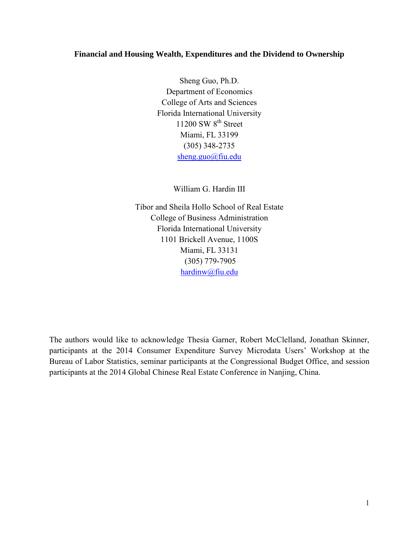# **Financial and Housing Wealth, Expenditures and the Dividend to Ownership**

Sheng Guo, Ph.D. Department of Economics College of Arts and Sciences Florida International University  $11200$  SW  $8^{th}$  Street Miami, FL 33199 (305) 348-2735 [sheng.guo@fiu.edu](mailto:sheng.guo@fiu.edu)

William G. Hardin III

Tibor and Sheila Hollo School of Real Estate College of Business Administration Florida International University 1101 Brickell Avenue, 1100S Miami, FL 33131 (305) 779-7905 [hardinw@fiu.edu](mailto:hardinw@fiu.edu)

The authors would like to acknowledge Thesia Garner, Robert McClelland, Jonathan Skinner, participants at the 2014 Consumer Expenditure Survey Microdata Users' Workshop at the Bureau of Labor Statistics, seminar participants at the Congressional Budget Office, and session participants at the 2014 Global Chinese Real Estate Conference in Nanjing, China.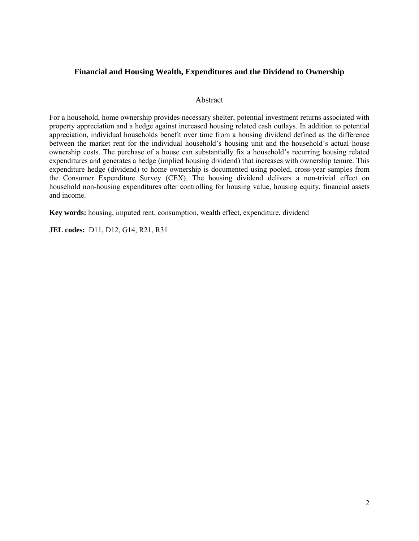# **Financial and Housing Wealth, Expenditures and the Dividend to Ownership**

### Abstract

For a household, home ownership provides necessary shelter, potential investment returns associated with property appreciation and a hedge against increased housing related cash outlays. In addition to potential appreciation, individual households benefit over time from a housing dividend defined as the difference between the market rent for the individual household's housing unit and the household's actual house ownership costs. The purchase of a house can substantially fix a household's recurring housing related expenditures and generates a hedge (implied housing dividend) that increases with ownership tenure. This expenditure hedge (dividend) to home ownership is documented using pooled, cross-year samples from the Consumer Expenditure Survey (CEX). The housing dividend delivers a non-trivial effect on household non-housing expenditures after controlling for housing value, housing equity, financial assets and income.

**Key words:** housing, imputed rent, consumption, wealth effect, expenditure, dividend

**JEL codes:** D11, D12, G14, R21, R31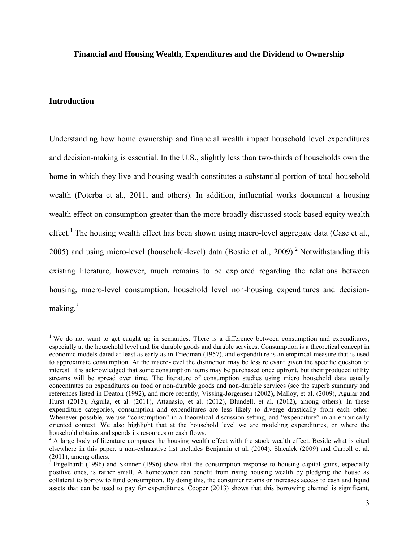# **Financial and Housing Wealth, Expenditures and the Dividend to Ownership**

# **Introduction**

 $\overline{a}$ 

Understanding how home ownership and financial wealth impact household level expenditures and decision-making is essential. In the U.S., slightly less than two-thirds of households own the home in which they live and housing wealth constitutes a substantial portion of total household wealth (Poterba et al., 2011, and others). In addition, influential works document a housing wealth effect on consumption greater than the more broadly discussed stock-based equity wealth effect.<sup>1</sup> The housing wealth effect has been shown using macro-level aggregate data (Case et al., 2005) and using micro-level (household-level) data (Bostic et al., 2009).<sup>2</sup> Notwithstanding this existing literature, however, much remains to be explored regarding the relations between housing, macro-level consumption, household level non-housing expenditures and decisionmaking.<sup>3</sup>

<sup>&</sup>lt;sup>1</sup> We do not want to get caught up in semantics. There is a difference between consumption and expenditures, especially at the household level and for durable goods and durable services. Consumption is a theoretical concept in economic models dated at least as early as in Friedman (1957), and expenditure is an empirical measure that is used to approximate consumption. At the macro-level the distinction may be less relevant given the specific question of interest. It is acknowledged that some consumption items may be purchased once upfront, but their produced utility streams will be spread over time. The literature of consumption studies using micro household data usually concentrates on expenditures on food or non-durable goods and non-durable services (see the superb summary and references listed in Deaton (1992), and more recently, Vissing-Jørgensen (2002), Malloy, et al. (2009), Aguiar and Hurst (2013), Aguila, et al. (2011), Attanasio, et al. (2012), Blundell, et al. (2012), among others). In these expenditure categories, consumption and expenditures are less likely to diverge drastically from each other. Whenever possible, we use "consumption" in a theoretical discussion setting, and "expenditure" in an empirically oriented context. We also highlight that at the household level we are modeling expenditures, or where the household obtains and spends its resources or cash flows.

 $2$  A large body of literature compares the housing wealth effect with the stock wealth effect. Beside what is cited elsewhere in this paper, a non-exhaustive list includes Benjamin et al. (2004), Slacalek (2009) and Carroll et al. (2011), among others.<br><sup>3</sup> Engelhardt (1996) and Skinner (1996) show that the consumption response to housing capital gains, especially

positive ones, is rather small. A homeowner can benefit from rising housing wealth by pledging the house as collateral to borrow to fund consumption. By doing this, the consumer retains or increases access to cash and liquid assets that can be used to pay for expenditures. Cooper (2013) shows that this borrowing channel is significant,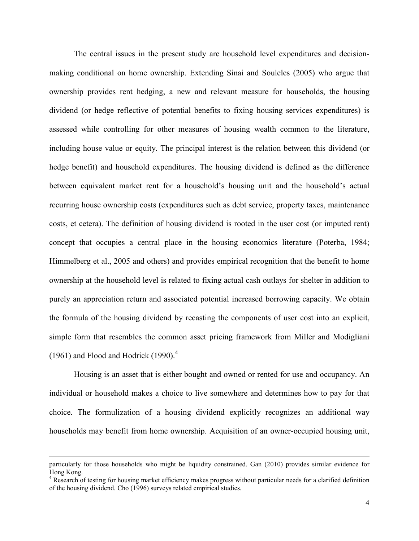The central issues in the present study are household level expenditures and decisionmaking conditional on home ownership. Extending Sinai and Souleles (2005) who argue that ownership provides rent hedging, a new and relevant measure for households, the housing dividend (or hedge reflective of potential benefits to fixing housing services expenditures) is assessed while controlling for other measures of housing wealth common to the literature, including house value or equity. The principal interest is the relation between this dividend (or hedge benefit) and household expenditures. The housing dividend is defined as the difference between equivalent market rent for a household's housing unit and the household's actual recurring house ownership costs (expenditures such as debt service, property taxes, maintenance costs, et cetera). The definition of housing dividend is rooted in the user cost (or imputed rent) concept that occupies a central place in the housing economics literature (Poterba, 1984; Himmelberg et al., 2005 and others) and provides empirical recognition that the benefit to home ownership at the household level is related to fixing actual cash outlays for shelter in addition to purely an appreciation return and associated potential increased borrowing capacity. We obtain the formula of the housing dividend by recasting the components of user cost into an explicit, simple form that resembles the common asset pricing framework from Miller and Modigliani (1961) and Flood and Hodrick (1990). $<sup>4</sup>$ </sup>

Housing is an asset that is either bought and owned or rented for use and occupancy. An individual or household makes a choice to live somewhere and determines how to pay for that choice. The formulization of a housing dividend explicitly recognizes an additional way households may benefit from home ownership. Acquisition of an owner-occupied housing unit,

 $\overline{\phantom{a}}$ 

particularly for those households who might be liquidity constrained. Gan (2010) provides similar evidence for Hong Kong.

<sup>&</sup>lt;sup>4</sup> Research of testing for housing market efficiency makes progress without particular needs for a clarified definition of the housing dividend. Cho (1996) surveys related empirical studies.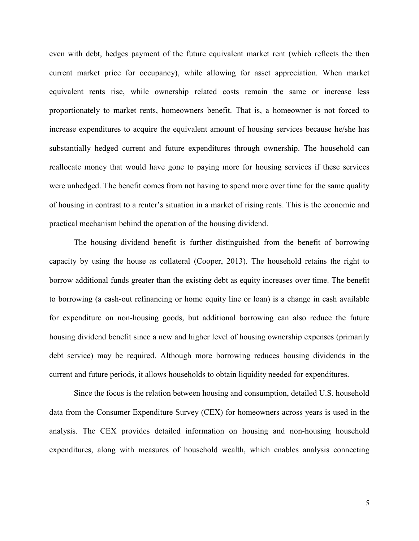even with debt, hedges payment of the future equivalent market rent (which reflects the then current market price for occupancy), while allowing for asset appreciation. When market equivalent rents rise, while ownership related costs remain the same or increase less proportionately to market rents, homeowners benefit. That is, a homeowner is not forced to increase expenditures to acquire the equivalent amount of housing services because he/she has substantially hedged current and future expenditures through ownership. The household can reallocate money that would have gone to paying more for housing services if these services were unhedged. The benefit comes from not having to spend more over time for the same quality of housing in contrast to a renter's situation in a market of rising rents. This is the economic and practical mechanism behind the operation of the housing dividend.

The housing dividend benefit is further distinguished from the benefit of borrowing capacity by using the house as collateral (Cooper, 2013). The household retains the right to borrow additional funds greater than the existing debt as equity increases over time. The benefit to borrowing (a cash-out refinancing or home equity line or loan) is a change in cash available for expenditure on non-housing goods, but additional borrowing can also reduce the future housing dividend benefit since a new and higher level of housing ownership expenses (primarily debt service) may be required. Although more borrowing reduces housing dividends in the current and future periods, it allows households to obtain liquidity needed for expenditures.

Since the focus is the relation between housing and consumption, detailed U.S. household data from the Consumer Expenditure Survey (CEX) for homeowners across years is used in the analysis. The CEX provides detailed information on housing and non-housing household expenditures, along with measures of household wealth, which enables analysis connecting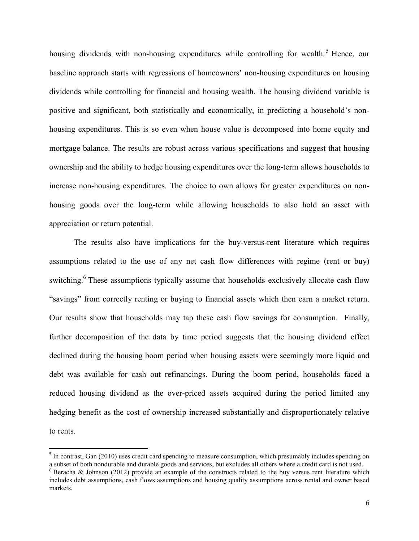housing dividends with non-housing expenditures while controlling for wealth.<sup>5</sup> Hence, our baseline approach starts with regressions of homeowners' non-housing expenditures on housing dividends while controlling for financial and housing wealth. The housing dividend variable is positive and significant, both statistically and economically, in predicting a household's nonhousing expenditures. This is so even when house value is decomposed into home equity and mortgage balance. The results are robust across various specifications and suggest that housing ownership and the ability to hedge housing expenditures over the long-term allows households to increase non-housing expenditures. The choice to own allows for greater expenditures on nonhousing goods over the long-term while allowing households to also hold an asset with appreciation or return potential.

The results also have implications for the buy-versus-rent literature which requires assumptions related to the use of any net cash flow differences with regime (rent or buy) switching.<sup>6</sup> These assumptions typically assume that households exclusively allocate cash flow "savings" from correctly renting or buying to financial assets which then earn a market return. Our results show that households may tap these cash flow savings for consumption. Finally, further decomposition of the data by time period suggests that the housing dividend effect declined during the housing boom period when housing assets were seemingly more liquid and debt was available for cash out refinancings. During the boom period, households faced a reduced housing dividend as the over-priced assets acquired during the period limited any hedging benefit as the cost of ownership increased substantially and disproportionately relative to rents.

 $\overline{a}$ 

<sup>&</sup>lt;sup>5</sup> In contrast, Gan (2010) uses credit card spending to measure consumption, which presumably includes spending on a subset of both nondurable and durable goods and services, but excludes all others where a credit card is not used.

 $6$  Beracha & Johnson (2012) provide an example of the constructs related to the buy versus rent literature which includes debt assumptions, cash flows assumptions and housing quality assumptions across rental and owner based markets.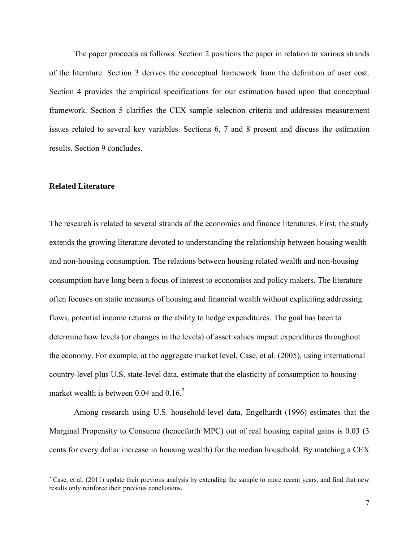The paper proceeds as follows. Section 2 positions the paper in relation to various strands of the literature. Section 3 derives the conceptual framework from the definition of user cost. Section 4 provides the empirical specifications for our estimation based upon that conceptual framework. Section 5 clarifies the CEX sample selection criteria and addresses measurement issues related to several key variables. Sections 6, 7 and 8 present and discuss the estimation results. Section 9 concludes.

# **Related Literature**

The research is related to several strands of the economics and finance literatures. First, the study extends the growing literature devoted to understanding the relationship between housing wealth and non-housing consumption. The relations between housing related wealth and non-housing consumption have long been a focus of interest to economists and policy makers. The literature often focuses on static measures of housing and financial wealth without expliciting addressing flows, potential income returns or the ability to hedge expenditures. The goal has been to determine how levels (or changes in the levels) of asset values impact expenditures throughout the economy. For example, at the aggregate market level, Case, et al. (2005), using international country-level plus U.S. state-level data, estimate that the elasticity of consumption to housing market wealth is between 0.04 and  $0.16$ .<sup>7</sup>

Among research using U.S. household-level data, Engelhardt (1996) estimates that the Marginal Propensity to Consume (henceforth MPC) out of real housing capital gains is 0.03 (3 cents for every dollar increase in housing wealth) for the median household. By matching a CEX

<sup>&</sup>lt;sup>7</sup> Case, et al. (2011) update their previous analysis by extending the sample to more recent years, and find that new results only reinforce their previous conclusions.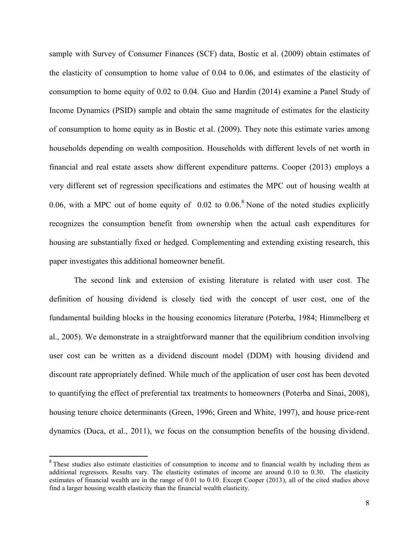sample with Survey of Consumer Finances (SCF) data, Bostic et al. (2009) obtain estimates of the elasticity of consumption to home value of 0.04 to 0.06, and estimates of the elasticity of consumption to home equity of 0.02 to 0.04. Guo and Hardin (2014) examine a Panel Study of Income Dynamics (PSID) sample and obtain the same magnitude of estimates for the elasticity of consumption to home equity as in Bostic et al. (2009). They note this estimate varies among households depending on wealth composition. Households with different levels of net worth in financial and real estate assets show different expenditure patterns. Cooper (2013) employs a very different set of regression specifications and estimates the MPC out of housing wealth at 0.06, with a MPC out of home equity of  $0.02$  to  $0.06$ .<sup>8</sup> None of the noted studies explicitly recognizes the consumption benefit from ownership when the actual cash expenditures for housing are substantially fixed or hedged. Complementing and extending existing research, this paper investigates this additional homeowner benefit.

The second link and extension of existing literature is related with user cost. The definition of housing dividend is closely tied with the concept of user cost, one of the fundamental building blocks in the housing economics literature (Poterba, 1984; Himmelberg et al., 2005). We demonstrate in a straightforward manner that the equilibrium condition involving user cost can be written as a dividend discount model (DDM) with housing dividend and discount rate appropriately defined. While much of the application of user cost has been devoted to quantifying the effect of preferential tax treatments to homeowners (Poterba and Sinai, 2008), housing tenure choice determinants (Green, 1996; Green and White, 1997), and house price-rent dynamics (Duca, et al., 2011), we focus on the consumption benefits of the housing dividend.

 $\overline{\phantom{a}}$ 

<sup>&</sup>lt;sup>8</sup> These studies also estimate elasticities of consumption to income and to financial wealth by including them as additional regressors. Results vary. The elasticity estimates of income are around 0.10 to 0.30. The elasticity estimates of financial wealth are in the range of 0.01 to 0.10. Except Cooper (2013), all of the cited studies above find a larger housing wealth elasticity than the financial wealth elasticity.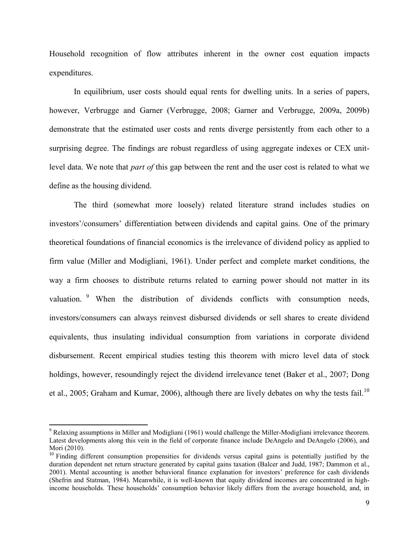Household recognition of flow attributes inherent in the owner cost equation impacts expenditures.

In equilibrium, user costs should equal rents for dwelling units. In a series of papers, however, Verbrugge and Garner (Verbrugge, 2008; Garner and Verbrugge, 2009a, 2009b) demonstrate that the estimated user costs and rents diverge persistently from each other to a surprising degree. The findings are robust regardless of using aggregate indexes or CEX unitlevel data. We note that *part of* this gap between the rent and the user cost is related to what we define as the housing dividend.

The third (somewhat more loosely) related literature strand includes studies on investors'/consumers' differentiation between dividends and capital gains. One of the primary theoretical foundations of financial economics is the irrelevance of dividend policy as applied to firm value (Miller and Modigliani, 1961). Under perfect and complete market conditions, the way a firm chooses to distribute returns related to earning power should not matter in its valuation. <sup>9</sup> When the distribution of dividends conflicts with consumption needs, investors/consumers can always reinvest disbursed dividends or sell shares to create dividend equivalents, thus insulating individual consumption from variations in corporate dividend disbursement. Recent empirical studies testing this theorem with micro level data of stock holdings, however, resoundingly reject the dividend irrelevance tenet (Baker et al., 2007; Dong et al., 2005; Graham and Kumar, 2006), although there are lively debates on why the tests fail.<sup>10</sup>

l

 $9$  Relaxing assumptions in Miller and Modigliani (1961) would challenge the Miller-Modigliani irrelevance theorem. Latest developments along this vein in the field of corporate finance include DeAngelo and DeAngelo (2006), and Mori (2010).

<sup>&</sup>lt;sup>10</sup> Finding different consumption propensities for dividends versus capital gains is potentially justified by the duration dependent net return structure generated by capital gains taxation (Balcer and Judd, 1987; Dammon et al., 2001). Mental accounting is another behavioral finance explanation for investors' preference for cash dividends (Shefrin and Statman, 1984). Meanwhile, it is well-known that equity dividend incomes are concentrated in highincome households. These households' consumption behavior likely differs from the average household, and, in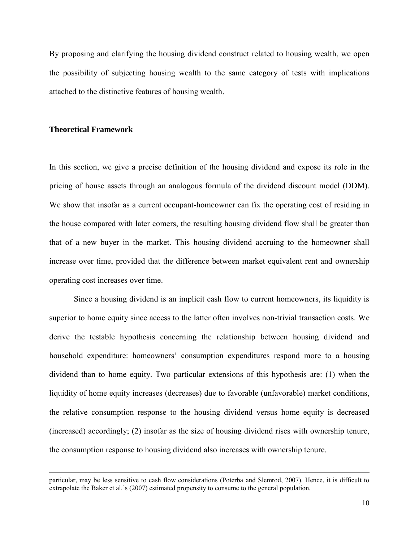By proposing and clarifying the housing dividend construct related to housing wealth, we open the possibility of subjecting housing wealth to the same category of tests with implications attached to the distinctive features of housing wealth.

# **Theoretical Framework**

 $\overline{\phantom{a}}$ 

In this section, we give a precise definition of the housing dividend and expose its role in the pricing of house assets through an analogous formula of the dividend discount model (DDM). We show that insofar as a current occupant-homeowner can fix the operating cost of residing in the house compared with later comers, the resulting housing dividend flow shall be greater than that of a new buyer in the market. This housing dividend accruing to the homeowner shall increase over time, provided that the difference between market equivalent rent and ownership operating cost increases over time.

Since a housing dividend is an implicit cash flow to current homeowners, its liquidity is superior to home equity since access to the latter often involves non-trivial transaction costs. We derive the testable hypothesis concerning the relationship between housing dividend and household expenditure: homeowners' consumption expenditures respond more to a housing dividend than to home equity. Two particular extensions of this hypothesis are: (1) when the liquidity of home equity increases (decreases) due to favorable (unfavorable) market conditions, the relative consumption response to the housing dividend versus home equity is decreased (increased) accordingly; (2) insofar as the size of housing dividend rises with ownership tenure, the consumption response to housing dividend also increases with ownership tenure.

particular, may be less sensitive to cash flow considerations (Poterba and Slemrod, 2007). Hence, it is difficult to extrapolate the Baker et al.'s (2007) estimated propensity to consume to the general population.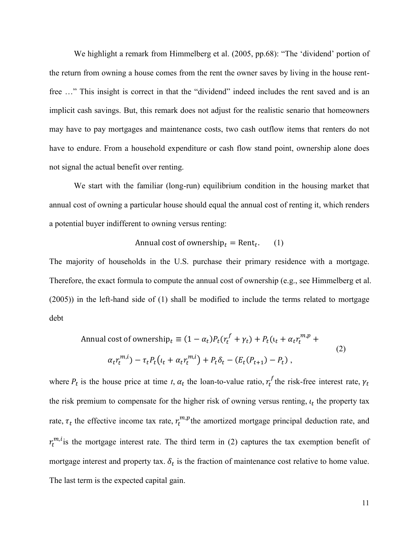We highlight a remark from Himmelberg et al. (2005, pp.68): "The 'dividend' portion of the return from owning a house comes from the rent the owner saves by living in the house rentfree ..." This insight is correct in that the "dividend" indeed includes the rent saved and is an implicit cash savings. But, this remark does not adjust for the realistic senario that homeowners may have to pay mortgages and maintenance costs, two cash outflow items that renters do not have to endure. From a household expenditure or cash flow stand point, ownership alone does not signal the actual benefit over renting.

 We start with the familiar (long-run) equilibrium condition in the housing market that annual cost of owning a particular house should equal the annual cost of renting it, which renders a potential buyer indifferent to owning versus renting:

Annual cost of ownership = Rent . (1)

The majority of households in the U.S. purchase their primary residence with a mortgage. Therefore, the exact formula to compute the annual cost of ownership (e.g., see Himmelberg et al. (2005)) in the left-hand side of (1) shall be modified to include the terms related to mortgage debt

Annual cost of ownership<sub>t</sub> 
$$
\equiv (1 - \alpha_t)P_t(r_t^f + \gamma_t) + P_t(\iota_t + \alpha_t r_t^{m,p} + \alpha_t r_t^{m,t}) - \tau_t P_t(\iota_t + \alpha_t r_t^{m,t}) + P_t \delta_t - (E_t(P_{t+1}) - P_t),
$$
\n
$$
(2)
$$

where  $P_t$  is the house price at time *t*,  $\alpha_t$  the loan-to-value ratio,  $r_t^f$  the risk-free interest rate,  $\gamma_t$ the risk premium to compensate for the higher risk of owning versus renting,  $t_t$  the property tax rate,  $\tau_t$  the effective income tax rate,  $r_t^{m,p}$ the amortized mortgage principal deduction rate, and  $r_t^{m,i}$  is the mortgage interest rate. The third term in (2) captures the tax exemption benefit of mortgage interest and property tax.  $\delta_t$  is the fraction of maintenance cost relative to home value. The last term is the expected capital gain.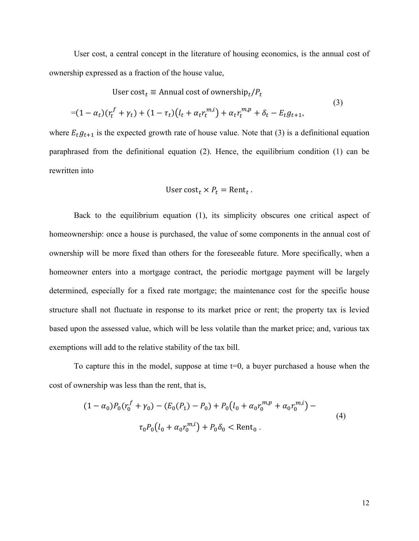User cost, a central concept in the literature of housing economics, is the annual cost of ownership expressed as a fraction of the house value,

User cost<sub>t</sub> 
$$
\equiv
$$
 Annual cost of ownership<sub>t</sub>/P<sub>t</sub>  
= $(1 - \alpha_t)(r_t^f + \gamma_t) + (1 - \tau_t)(l_t + \alpha_t r_t^{m,i}) + \alpha_t r_t^{m,p} + \delta_t - E_t g_{t+1},$  (3)

where  $E_t g_{t+1}$  is the expected growth rate of house value. Note that (3) is a definitional equation paraphrased from the definitional equation (2). Hence, the equilibrium condition (1) can be rewritten into

User cost<sub>t</sub> 
$$
\times
$$
  $P_t$  = Rent<sub>t</sub>.

 Back to the equilibrium equation (1), its simplicity obscures one critical aspect of homeownership: once a house is purchased, the value of some components in the annual cost of ownership will be more fixed than others for the foreseeable future. More specifically, when a homeowner enters into a mortgage contract, the periodic mortgage payment will be largely determined, especially for a fixed rate mortgage; the maintenance cost for the specific house structure shall not fluctuate in response to its market price or rent; the property tax is levied based upon the assessed value, which will be less volatile than the market price; and, various tax exemptions will add to the relative stability of the tax bill.

To capture this in the model, suppose at time  $t=0$ , a buyer purchased a house when the cost of ownership was less than the rent, that is,

$$
(1 - \alpha_0)P_0(r_0^f + \gamma_0) - (E_0(P_1) - P_0) + P_0(l_0 + \alpha_0 r_0^{m,p} + \alpha_0 r_0^{m,i}) -
$$
  

$$
\tau_0 P_0(l_0 + \alpha_0 r_0^{m,i}) + P_0 \delta_0 < \text{Rent}_0.
$$
 (4)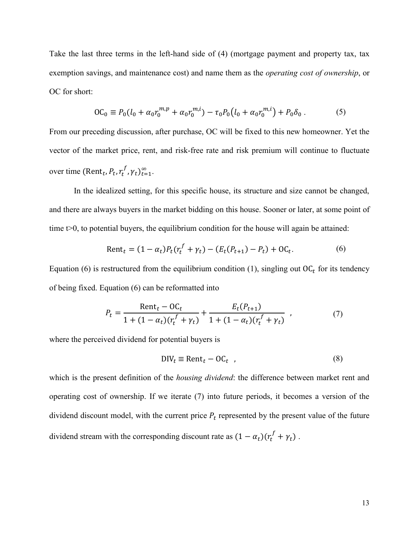Take the last three terms in the left-hand side of (4) (mortgage payment and property tax, tax exemption savings, and maintenance cost) and name them as the *operating cost of ownership*, or OC for short:

$$
OC_0 \equiv P_0(l_0 + \alpha_0 r_0^{m,p} + \alpha_0 r_0^{m,i}) - \tau_0 P_0(l_0 + \alpha_0 r_0^{m,i}) + P_0 \delta_0.
$$
 (5)

From our preceding discussion, after purchase, OC will be fixed to this new homeowner. Yet the vector of the market price, rent, and risk-free rate and risk premium will continue to fluctuate over time (Rent<sub>t</sub>,  $P_t$ ,  $r_t^f$ ,  $\gamma_t$ ) $_{t=1}^{\infty}$ .

 In the idealized setting, for this specific house, its structure and size cannot be changed, and there are always buyers in the market bidding on this house. Sooner or later, at some point of time  $t>0$ , to potential buyers, the equilibrium condition for the house will again be attained:

$$
Rent_t = (1 - \alpha_t)P_t(r_t^f + \gamma_t) - (E_t(P_{t+1}) - P_t) + 0C_t.
$$
 (6)

Equation (6) is restructured from the equilibrium condition (1), singling out  $OC<sub>t</sub>$  for its tendency of being fixed. Equation (6) can be reformatted into

$$
P_t = \frac{\text{Rent}_t - \text{OC}_t}{1 + (1 - \alpha_t)(r_t^f + \gamma_t)} + \frac{E_t(P_{t+1})}{1 + (1 - \alpha_t)(r_t^f + \gamma_t)},
$$
(7)

where the perceived dividend for potential buyers is

$$
DIV_t \equiv \text{Rent}_t - OC_t \quad , \tag{8}
$$

which is the present definition of the *housing dividend*: the difference between market rent and operating cost of ownership. If we iterate (7) into future periods, it becomes a version of the dividend discount model, with the current price  $P_t$  represented by the present value of the future dividend stream with the corresponding discount rate as  $(1 - \alpha_t)(r_t^f + \gamma_t)$ .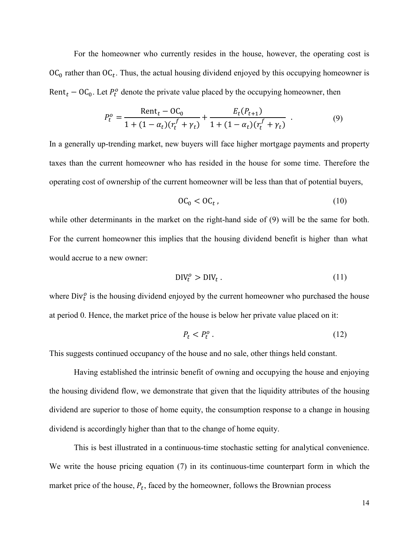For the homeowner who currently resides in the house, however, the operating cost is  $OC_0$  rather than  $OC_t$ . Thus, the actual housing dividend enjoyed by this occupying homeowner is Rent<sub>t</sub> – OC<sub>0</sub>. Let  $P_t^o$  denote the private value placed by the occupying homeowner, then

$$
P_t^o = \frac{\text{Rent}_t - \text{OC}_0}{1 + (1 - \alpha_t)(r_t^f + \gamma_t)} + \frac{E_t(P_{t+1})}{1 + (1 - \alpha_t)(r_t^f + \gamma_t)}.
$$
(9)

In a generally up-trending market, new buyers will face higher mortgage payments and property taxes than the current homeowner who has resided in the house for some time. Therefore the operating cost of ownership of the current homeowner will be less than that of potential buyers,

$$
OC_0 < OC_t \tag{10}
$$

while other determinants in the market on the right-hand side of (9) will be the same for both. For the current homeowner this implies that the housing dividend benefit is higher than what would accrue to a new owner:

$$
DIV_t^o > DIV_t . \t\t(11)
$$

where  $Div_t^o$  is the housing dividend enjoyed by the current homeowner who purchased the house at period 0. Hence, the market price of the house is below her private value placed on it:

$$
P_t < P_t^o \tag{12}
$$

This suggests continued occupancy of the house and no sale, other things held constant.

Having established the intrinsic benefit of owning and occupying the house and enjoying the housing dividend flow, we demonstrate that given that the liquidity attributes of the housing dividend are superior to those of home equity, the consumption response to a change in housing dividend is accordingly higher than that to the change of home equity.

This is best illustrated in a continuous-time stochastic setting for analytical convenience. We write the house pricing equation (7) in its continuous-time counterpart form in which the market price of the house,  $P_t$ , faced by the homeowner, follows the Brownian process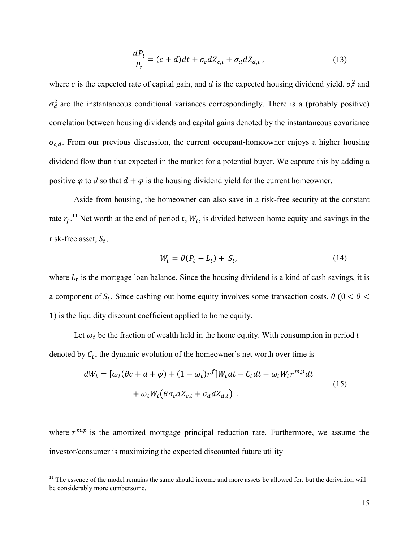$$
\frac{dP_t}{P_t} = (c+d)dt + \sigma_c dZ_{c,t} + \sigma_d dZ_{d,t},
$$
\n(13)

where c is the expected rate of capital gain, and d is the expected housing dividend yield.  $\sigma_c^2$  and  $\sigma_d^2$  are the instantaneous conditional variances correspondingly. There is a (probably positive) correlation between housing dividends and capital gains denoted by the instantaneous covariance  $\sigma_{c,d}$ . From our previous discussion, the current occupant-homeowner enjoys a higher housing dividend flow than that expected in the market for a potential buyer. We capture this by adding a positive  $\varphi$  to *d* so that  $d + \varphi$  is the housing dividend yield for the current homeowner.

 Aside from housing, the homeowner can also save in a risk-free security at the constant rate  $r_f$ .<sup>11</sup> Net worth at the end of period t,  $W_t$ , is divided between home equity and savings in the risk-free asset,  $S_t$ ,

$$
W_t = \theta(P_t - L_t) + S_t, \qquad (14)
$$

where  $L_t$  is the mortgage loan balance. Since the housing dividend is a kind of cash savings, it is a component of  $S_t$ . Since cashing out home equity involves some transaction costs,  $\theta$  ( $0 < \theta < \theta$ ) 1) is the liquidity discount coefficient applied to home equity.

Let  $\omega_t$  be the fraction of wealth held in the home equity. With consumption in period t denoted by  $C_t$ , the dynamic evolution of the homeowner's net worth over time is

$$
dW_t = [\omega_t(\theta c + d + \varphi) + (1 - \omega_t)r^f]W_t dt - C_t dt - \omega_t W_t r^{m,p} dt
$$
  
+ 
$$
\omega_t W_t (\theta \sigma_c dZ_{c,t} + \sigma_d dZ_{d,t}).
$$
 (15)

where  $r^{m,p}$  is the amortized mortgage principal reduction rate. Furthermore, we assume the investor/consumer is maximizing the expected discounted future utility

l

 $11$ <sup>11</sup> The essence of the model remains the same should income and more assets be allowed for, but the derivation will be considerably more cumbersome.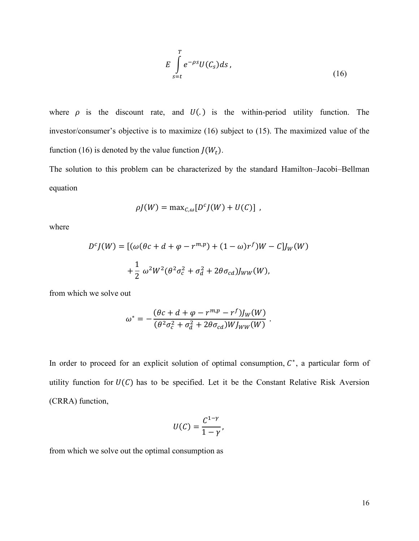$$
E\int_{s=t}^{T}e^{-\rho s}U(\mathcal{C}_s)ds\,,\tag{16}
$$

where  $\rho$  is the discount rate, and  $U(.)$  is the within-period utility function. The investor/consumer's objective is to maximize (16) subject to (15). The maximized value of the function (16) is denoted by the value function  $J(W_t)$ .

The solution to this problem can be characterized by the standard Hamilton–Jacobi–Bellman equation

$$
\rho J(W) = \max_{C,\omega} [D^{c}J(W) + U(C)] ,
$$

where

$$
D^{c}J(W) = [(\omega(\theta c + d + \varphi - r^{m,p}) + (1 - \omega)r^{f})W - C]J_{W}(W) + \frac{1}{2} \omega^{2}W^{2}(\theta^{2}\sigma_{c}^{2} + \sigma_{d}^{2} + 2\theta\sigma_{cd})J_{WW}(W),
$$

from which we solve out

$$
\omega^* = -\frac{(\theta c + d + \varphi - r^{m,p} - r^f)J_W(W)}{(\theta^2 \sigma_c^2 + \sigma_d^2 + 2\theta \sigma_{cd})WJ_{WW}(W)}.
$$

In order to proceed for an explicit solution of optimal consumption,  $C^*$ , a particular form of utility function for  $U(C)$  has to be specified. Let it be the Constant Relative Risk Aversion (CRRA) function,

$$
U(C)=\frac{C^{1-\gamma}}{1-\gamma},
$$

from which we solve out the optimal consumption as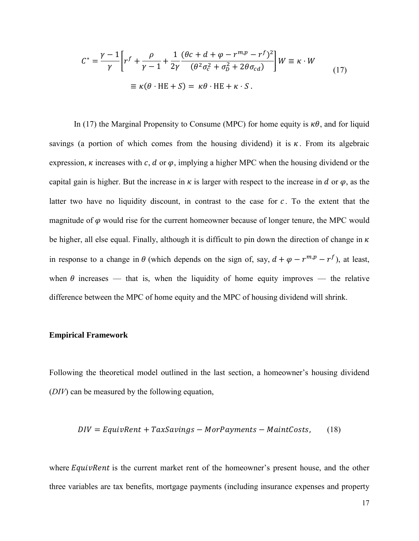$$
C^* = \frac{\gamma - 1}{\gamma} \left[ r^f + \frac{\rho}{\gamma - 1} + \frac{1}{2\gamma} \frac{(\theta c + d + \varphi - r^{m,p} - r^f)^2}{(\theta^2 \sigma_c^2 + \sigma_b^2 + 2\theta \sigma_{cd})} \right] W \equiv \kappa \cdot W
$$
  

$$
\equiv \kappa (\theta \cdot \text{HE} + S) = \kappa \theta \cdot \text{HE} + \kappa \cdot S \,.
$$
 (17)

In (17) the Marginal Propensity to Consume (MPC) for home equity is  $\kappa\theta$ , and for liquid savings (a portion of which comes from the housing dividend) it is  $\kappa$ . From its algebraic expression,  $\kappa$  increases with  $c$ ,  $d$  or  $\varphi$ , implying a higher MPC when the housing dividend or the capital gain is higher. But the increase in  $\kappa$  is larger with respect to the increase in d or  $\varphi$ , as the latter two have no liquidity discount, in contrast to the case for  $c$ . To the extent that the magnitude of  $\varphi$  would rise for the current homeowner because of longer tenure, the MPC would be higher, all else equal. Finally, although it is difficult to pin down the direction of change in  $\kappa$ in response to a change in  $\theta$  (which depends on the sign of, say,  $d + \varphi - r^{m,p} - r^f$ ), at least, when  $\theta$  increases — that is, when the liquidity of home equity improves — the relative difference between the MPC of home equity and the MPC of housing dividend will shrink.

# **Empirical Framework**

Following the theoretical model outlined in the last section, a homeowner's housing dividend (*DIV*) can be measured by the following equation,

$$
DIV = Equivalent + TaxSavings - MorPayments - MainCosts,
$$
 (18)

where  $EquivRent$  is the current market rent of the homeowner's present house, and the other three variables are tax benefits, mortgage payments (including insurance expenses and property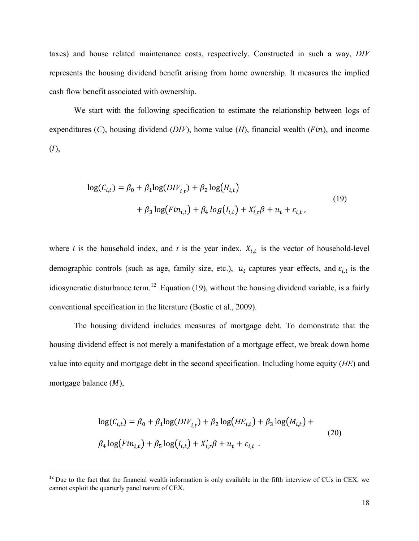taxes) and house related maintenance costs, respectively. Constructed in such a way, *DIV* represents the housing dividend benefit arising from home ownership. It measures the implied cash flow benefit associated with ownership.

We start with the following specification to estimate the relationship between logs of expenditures  $(C)$ , housing dividend  $(DIV)$ , home value  $(H)$ , financial wealth  $(Fin)$ , and income  $(I),$ 

$$
log(C_{i,t}) = \beta_0 + \beta_1 log(DIV_{i,t}) + \beta_2 log(H_{i,t})
$$
  
+ 
$$
\beta_3 log(Fin_{i,t}) + \beta_4 log(I_{i,t}) + X'_{i,t}\beta + u_t + \varepsilon_{i,t}
$$
 (19)

where *i* is the household index, and *t* is the year index.  $X_{i,t}$  is the vector of household-level demographic controls (such as age, family size, etc.),  $u_t$  captures year effects, and  $\varepsilon_{i,t}$  is the idiosyncratic disturbance term.<sup>12</sup> Equation (19), without the housing dividend variable, is a fairly conventional specification in the literature (Bostic et al., 2009).

The housing dividend includes measures of mortgage debt. To demonstrate that the housing dividend effect is not merely a manifestation of a mortgage effect, we break down home value into equity and mortgage debt in the second specification. Including home equity (*HE*) and mortgage balance  $(M)$ ,

$$
log(C_{i,t}) = \beta_0 + \beta_1 log(DIV_{i,t}) + \beta_2 log(HE_{i,t}) + \beta_3 log(M_{i,t}) +
$$
  

$$
\beta_4 log(Fin_{i,t}) + \beta_5 log(I_{i,t}) + X'_{i,t}\beta + u_t + \varepsilon_{i,t} .
$$
 (20)

l

 $12$  Due to the fact that the financial wealth information is only available in the fifth interview of CUs in CEX, we cannot exploit the quarterly panel nature of CEX.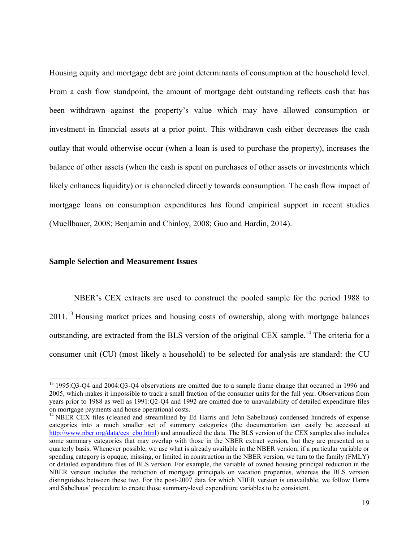Housing equity and mortgage debt are joint determinants of consumption at the household level. From a cash flow standpoint, the amount of mortgage debt outstanding reflects cash that has been withdrawn against the property's value which may have allowed consumption or investment in financial assets at a prior point. This withdrawn cash either decreases the cash outlay that would otherwise occur (when a loan is used to purchase the property), increases the balance of other assets (when the cash is spent on purchases of other assets or investments which likely enhances liquidity) or is channeled directly towards consumption. The cash flow impact of mortgage loans on consumption expenditures has found empirical support in recent studies (Muellbauer, 2008; Benjamin and Chinloy, 2008; Guo and Hardin, 2014).

# **Sample Selection and Measurement Issues**

 $\overline{a}$ 

NBER's CEX extracts are used to construct the pooled sample for the period 1988 to 2011.<sup>13</sup> Housing market prices and housing costs of ownership, along with mortgage balances outstanding, are extracted from the BLS version of the original CEX sample.<sup>14</sup> The criteria for a consumer unit (CU) (most likely a household) to be selected for analysis are standard: the CU

<sup>&</sup>lt;sup>13</sup> 1995:Q3-Q4 and 2004:Q3-Q4 observations are omitted due to a sample frame change that occurred in 1996 and 2005, which makes it impossible to track a small fraction of the consumer units for the full year. Observations from years prior to 1988 as well as 1991:Q2-Q4 and 1992 are omitted due to unavailability of detailed expenditure files on mortgage payments and house operational costs.

<sup>&</sup>lt;sup>14</sup> NBER CEX files (cleaned and streamlined by Ed Harris and John Sabelhaus) condensed hundreds of expense categories into a much smaller set of summary categories (the documentation can easily be accessed at [http://www.nber.org/data/ces\\_cbo.html\)](http://www.nber.org/data/ces_cbo.html) and annualized the data. The BLS version of the CEX samples also includes some summary categories that may overlap with those in the NBER extract version, but they are presented on a quarterly basis. Whenever possible, we use what is already available in the NBER version; if a particular variable or spending category is opaque, missing, or limited in construction in the NBER version, we turn to the family (FMLY) or detailed expenditure files of BLS version. For example, the variable of owned housing principal reduction in the NBER version includes the reduction of mortgage principals on vacation properties, whereas the BLS version distinguishes between these two. For the post-2007 data for which NBER version is unavailable, we follow Harris and Sabelhaus' procedure to create those summary-level expenditure variables to be consistent.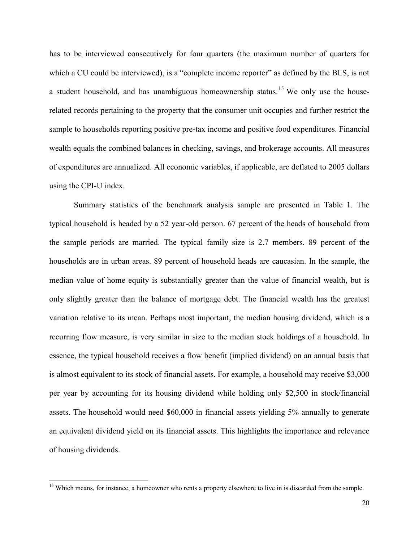has to be interviewed consecutively for four quarters (the maximum number of quarters for which a CU could be interviewed), is a "complete income reporter" as defined by the BLS, is not a student household, and has unambiguous homeownership status.<sup>15</sup> We only use the houserelated records pertaining to the property that the consumer unit occupies and further restrict the sample to households reporting positive pre-tax income and positive food expenditures. Financial wealth equals the combined balances in checking, savings, and brokerage accounts. All measures of expenditures are annualized. All economic variables, if applicable, are deflated to 2005 dollars using the CPI-U index.

Summary statistics of the benchmark analysis sample are presented in Table 1. The typical household is headed by a 52 year-old person. 67 percent of the heads of household from the sample periods are married. The typical family size is 2.7 members. 89 percent of the households are in urban areas. 89 percent of household heads are caucasian. In the sample, the median value of home equity is substantially greater than the value of financial wealth, but is only slightly greater than the balance of mortgage debt. The financial wealth has the greatest variation relative to its mean. Perhaps most important, the median housing dividend, which is a recurring flow measure, is very similar in size to the median stock holdings of a household. In essence, the typical household receives a flow benefit (implied dividend) on an annual basis that is almost equivalent to its stock of financial assets. For example, a household may receive \$3,000 per year by accounting for its housing dividend while holding only \$2,500 in stock/financial assets. The household would need \$60,000 in financial assets yielding 5% annually to generate an equivalent dividend yield on its financial assets. This highlights the importance and relevance of housing dividends.

 $\overline{\phantom{a}}$ 

<sup>&</sup>lt;sup>15</sup> Which means, for instance, a homeowner who rents a property elsewhere to live in is discarded from the sample.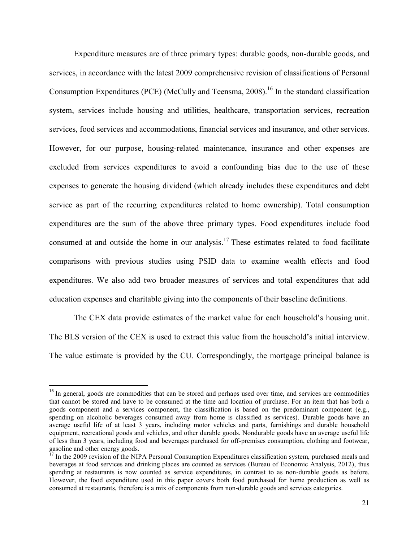Expenditure measures are of three primary types: durable goods, non-durable goods, and services, in accordance with the latest 2009 comprehensive revision of classifications of Personal Consumption Expenditures (PCE) (McCully and Teensma,  $2008$ ).<sup>16</sup> In the standard classification system, services include housing and utilities, healthcare, transportation services, recreation services, food services and accommodations, financial services and insurance, and other services. However, for our purpose, housing-related maintenance, insurance and other expenses are excluded from services expenditures to avoid a confounding bias due to the use of these expenses to generate the housing dividend (which already includes these expenditures and debt service as part of the recurring expenditures related to home ownership). Total consumption expenditures are the sum of the above three primary types. Food expenditures include food consumed at and outside the home in our analysis.<sup>17</sup> These estimates related to food facilitate comparisons with previous studies using PSID data to examine wealth effects and food expenditures. We also add two broader measures of services and total expenditures that add education expenses and charitable giving into the components of their baseline definitions.

The CEX data provide estimates of the market value for each household's housing unit. The BLS version of the CEX is used to extract this value from the household's initial interview. The value estimate is provided by the CU. Correspondingly, the mortgage principal balance is

 $\overline{\phantom{a}}$ 

<sup>&</sup>lt;sup>16</sup> In general, goods are commodities that can be stored and perhaps used over time, and services are commodities that cannot be stored and have to be consumed at the time and location of purchase. For an item that has both a goods component and a services component, the classification is based on the predominant component (e.g., spending on alcoholic beverages consumed away from home is classified as services). Durable goods have an average useful life of at least 3 years, including motor vehicles and parts, furnishings and durable household equipment, recreational goods and vehicles, and other durable goods. Nondurable goods have an average useful life of less than 3 years, including food and beverages purchased for off-premises consumption, clothing and footwear, gasoline and other energy goods.

In the 2009 revision of the NIPA Personal Consumption Expenditures classification system, purchased meals and beverages at food services and drinking places are counted as services (Bureau of Economic Analysis, 2012), thus spending at restaurants is now counted as service expenditures, in contrast to as non-durable goods as before. However, the food expenditure used in this paper covers both food purchased for home production as well as consumed at restaurants, therefore is a mix of components from non-durable goods and services categories.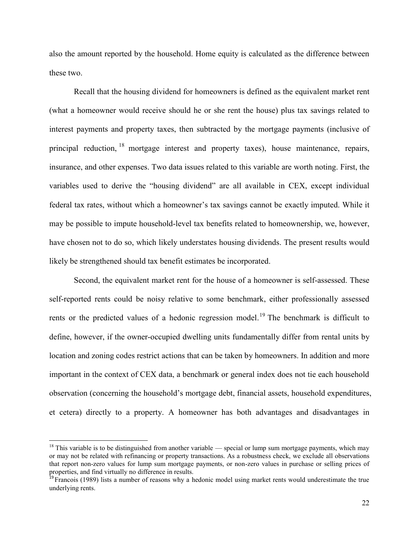also the amount reported by the household. Home equity is calculated as the difference between these two.

Recall that the housing dividend for homeowners is defined as the equivalent market rent (what a homeowner would receive should he or she rent the house) plus tax savings related to interest payments and property taxes, then subtracted by the mortgage payments (inclusive of principal reduction, <sup>18</sup> mortgage interest and property taxes), house maintenance, repairs, insurance, and other expenses. Two data issues related to this variable are worth noting. First, the variables used to derive the "housing dividend" are all available in CEX, except individual federal tax rates, without which a homeowner's tax savings cannot be exactly imputed. While it may be possible to impute household-level tax benefits related to homeownership, we, however, have chosen not to do so, which likely understates housing dividends. The present results would likely be strengthened should tax benefit estimates be incorporated.

Second, the equivalent market rent for the house of a homeowner is self-assessed. These self-reported rents could be noisy relative to some benchmark, either professionally assessed rents or the predicted values of a hedonic regression model.<sup>19</sup> The benchmark is difficult to define, however, if the owner-occupied dwelling units fundamentally differ from rental units by location and zoning codes restrict actions that can be taken by homeowners. In addition and more important in the context of CEX data, a benchmark or general index does not tie each household observation (concerning the household's mortgage debt, financial assets, household expenditures, et cetera) directly to a property. A homeowner has both advantages and disadvantages in

l

 $18$  This variable is to be distinguished from another variable — special or lump sum mortgage payments, which may or may not be related with refinancing or property transactions. As a robustness check, we exclude all observations that report non-zero values for lump sum mortgage payments, or non-zero values in purchase or selling prices of properties, and find virtually no difference in results.

<sup>&</sup>lt;sup>19</sup> Francois (1989) lists a number of reasons why a hedonic model using market rents would underestimate the true underlying rents.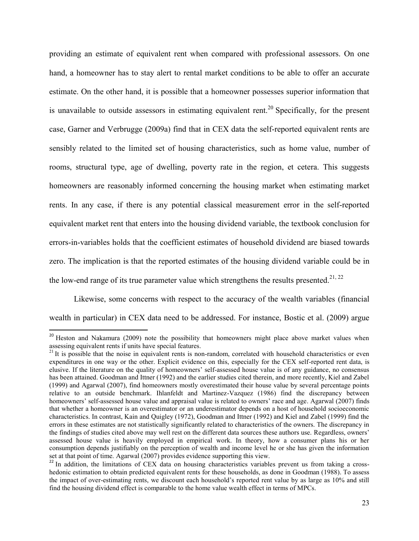providing an estimate of equivalent rent when compared with professional assessors. On one hand, a homeowner has to stay alert to rental market conditions to be able to offer an accurate estimate. On the other hand, it is possible that a homeowner possesses superior information that is unavailable to outside assessors in estimating equivalent rent.<sup>20</sup> Specifically, for the present case, Garner and Verbrugge (2009a) find that in CEX data the self-reported equivalent rents are sensibly related to the limited set of housing characteristics, such as home value, number of rooms, structural type, age of dwelling, poverty rate in the region, et cetera. This suggests homeowners are reasonably informed concerning the housing market when estimating market rents. In any case, if there is any potential classical measurement error in the self-reported equivalent market rent that enters into the housing dividend variable, the textbook conclusion for errors-in-variables holds that the coefficient estimates of household dividend are biased towards zero. The implication is that the reported estimates of the housing dividend variable could be in the low-end range of its true parameter value which strengthens the results presented.<sup>21, 22</sup>

Likewise, some concerns with respect to the accuracy of the wealth variables (financial wealth in particular) in CEX data need to be addressed. For instance, Bostic et al. (2009) argue

l

<sup>&</sup>lt;sup>20</sup> Heston and Nakamura (2009) note the possibility that homeowners might place above market values when assessing equivalent rents if units have special features.

<sup>&</sup>lt;sup>21</sup> It is possible that the noise in equivalent rents is non-random, correlated with household characteristics or even expenditures in one way or the other. Explicit evidence on this, especially for the CEX self-reported rent data, is elusive. If the literature on the quality of homeowners' self-assessed house value is of any guidance, no consensus has been attained. Goodman and Ittner (1992) and the earlier studies cited therein, and more recently, Kiel and Zabel (1999) and Agarwal (2007), find homeowners mostly overestimated their house value by several percentage points relative to an outside benchmark. Ihlanfeldt and Martinez-Vazquez (1986) find the discrepancy between homeowners' self-assessed house value and appraisal value is related to owners' race and age. Agarwal (2007) finds that whether a homeowner is an overestimator or an underestimator depends on a host of household socioeconomic characteristics. In contrast, Kain and Quigley (1972), Goodman and Ittner (1992) and Kiel and Zabel (1999) find the errors in these estimates are not statistically significantly related to characteristics of the owners. The discrepancy in the findings of studies cited above may well rest on the different data sources these authors use. Regardless, owners' assessed house value is heavily employed in empirical work. In theory, how a consumer plans his or her consumption depends justifiably on the perception of wealth and income level he or she has given the information set at that point of time. Agarwal (2007) provides evidence supporting this view.

 $22 \text{ In addition, the limitations of CEX data on housing characteristics variables prevent us from taking a cross$ hedonic estimation to obtain predicted equivalent rents for these households, as done in Goodman (1988). To assess the impact of over-estimating rents, we discount each household's reported rent value by as large as 10% and still find the housing dividend effect is comparable to the home value wealth effect in terms of MPCs.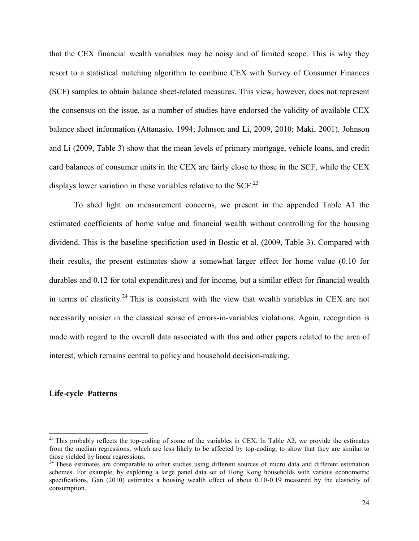that the CEX financial wealth variables may be noisy and of limited scope. This is why they resort to a statistical matching algorithm to combine CEX with Survey of Consumer Finances (SCF) samples to obtain balance sheet-related measures. This view, however, does not represent the consensus on the issue, as a number of studies have endorsed the validity of available CEX balance sheet information (Attanasio, 1994; Johnson and Li, 2009, 2010; Maki, 2001). Johnson and Li (2009, Table 3) show that the mean levels of primary mortgage, vehicle loans, and credit card balances of consumer units in the CEX are fairly close to those in the SCF, while the CEX displays lower variation in these variables relative to the SCF. $^{23}$ 

To shed light on measurement concerns, we present in the appended Table A1 the estimated coefficients of home value and financial wealth without controlling for the housing dividend. This is the baseline specifiction used in Bostic et al. (2009, Table 3). Compared with their results, the present estimates show a somewhat larger effect for home value (0.10 for durables and 0.12 for total expenditures) and for income, but a similar effect for financial wealth in terms of elasticity.<sup>24</sup> This is consistent with the view that wealth variables in CEX are not necessarily noisier in the classical sense of errors-in-variables violations. Again, recognition is made with regard to the overall data associated with this and other papers related to the area of interest, which remains central to policy and household decision-making.

#### **Life-cycle Patterns**

 $\overline{\phantom{a}}$ 

 $^{23}$  This probably reflects the top-coding of some of the variables in CEX. In Table A2, we provide the estimates from the median regressions, which are less likely to be affected by top-coding, to show that they are similar to those yielded by linear regressions.

 $24$  These estimates are comparable to other studies using different sources of micro data and different estimation schemes. For example, by exploring a large panel data set of Hong Kong households with various econometric specifications, Gan (2010) estimates a housing wealth effect of about 0.10-0.19 measured by the elasticity of consumption.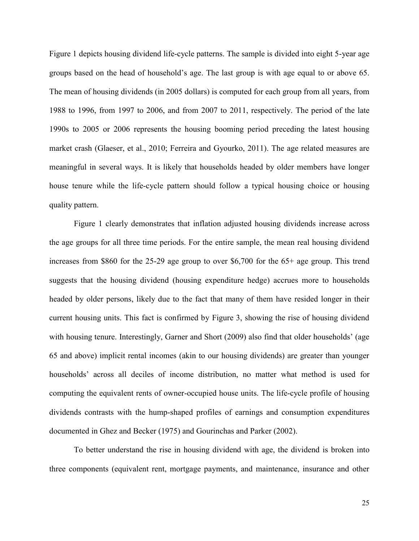Figure 1 depicts housing dividend life-cycle patterns. The sample is divided into eight 5-year age groups based on the head of household's age. The last group is with age equal to or above 65. The mean of housing dividends (in 2005 dollars) is computed for each group from all years, from 1988 to 1996, from 1997 to 2006, and from 2007 to 2011, respectively. The period of the late 1990s to 2005 or 2006 represents the housing booming period preceding the latest housing market crash (Glaeser, et al., 2010; Ferreira and Gyourko, 2011). The age related measures are meaningful in several ways. It is likely that households headed by older members have longer house tenure while the life-cycle pattern should follow a typical housing choice or housing quality pattern.

Figure 1 clearly demonstrates that inflation adjusted housing dividends increase across the age groups for all three time periods. For the entire sample, the mean real housing dividend increases from \$860 for the 25-29 age group to over \$6,700 for the 65+ age group. This trend suggests that the housing dividend (housing expenditure hedge) accrues more to households headed by older persons, likely due to the fact that many of them have resided longer in their current housing units. This fact is confirmed by Figure 3, showing the rise of housing dividend with housing tenure. Interestingly, Garner and Short (2009) also find that older households' (age 65 and above) implicit rental incomes (akin to our housing dividends) are greater than younger households' across all deciles of income distribution, no matter what method is used for computing the equivalent rents of owner-occupied house units. The life-cycle profile of housing dividends contrasts with the hump-shaped profiles of earnings and consumption expenditures documented in Ghez and Becker (1975) and Gourinchas and Parker (2002).

To better understand the rise in housing dividend with age, the dividend is broken into three components (equivalent rent, mortgage payments, and maintenance, insurance and other

25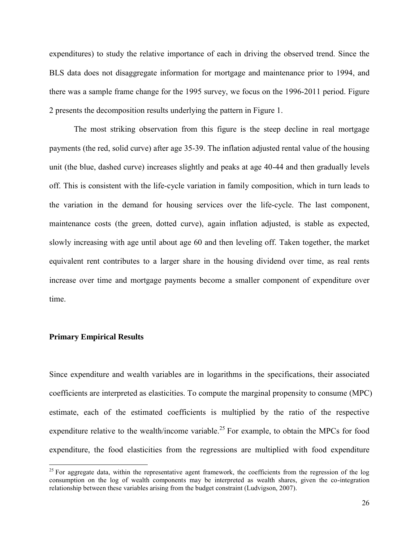expenditures) to study the relative importance of each in driving the observed trend. Since the BLS data does not disaggregate information for mortgage and maintenance prior to 1994, and there was a sample frame change for the 1995 survey, we focus on the 1996-2011 period. Figure 2 presents the decomposition results underlying the pattern in Figure 1.

The most striking observation from this figure is the steep decline in real mortgage payments (the red, solid curve) after age 35-39. The inflation adjusted rental value of the housing unit (the blue, dashed curve) increases slightly and peaks at age 40-44 and then gradually levels off. This is consistent with the life-cycle variation in family composition, which in turn leads to the variation in the demand for housing services over the life-cycle. The last component, maintenance costs (the green, dotted curve), again inflation adjusted, is stable as expected, slowly increasing with age until about age 60 and then leveling off. Taken together, the market equivalent rent contributes to a larger share in the housing dividend over time, as real rents increase over time and mortgage payments become a smaller component of expenditure over time.

### **Primary Empirical Results**

 $\overline{\phantom{a}}$ 

Since expenditure and wealth variables are in logarithms in the specifications, their associated coefficients are interpreted as elasticities. To compute the marginal propensity to consume (MPC) estimate, each of the estimated coefficients is multiplied by the ratio of the respective expenditure relative to the wealth/income variable.<sup>25</sup> For example, to obtain the MPCs for food expenditure, the food elasticities from the regressions are multiplied with food expenditure

<sup>&</sup>lt;sup>25</sup> For aggregate data, within the representative agent framework, the coefficients from the regression of the log consumption on the log of wealth components may be interpreted as wealth shares, given the co-integration relationship between these variables arising from the budget constraint (Ludvigson, 2007).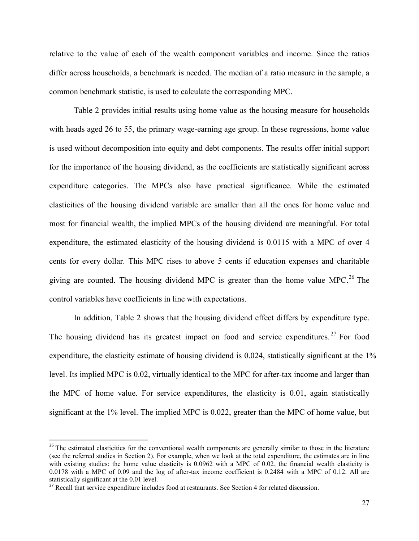relative to the value of each of the wealth component variables and income. Since the ratios differ across households, a benchmark is needed. The median of a ratio measure in the sample, a common benchmark statistic, is used to calculate the corresponding MPC.

Table 2 provides initial results using home value as the housing measure for households with heads aged 26 to 55, the primary wage-earning age group. In these regressions, home value is used without decomposition into equity and debt components. The results offer initial support for the importance of the housing dividend, as the coefficients are statistically significant across expenditure categories. The MPCs also have practical significance. While the estimated elasticities of the housing dividend variable are smaller than all the ones for home value and most for financial wealth, the implied MPCs of the housing dividend are meaningful. For total expenditure, the estimated elasticity of the housing dividend is 0.0115 with a MPC of over 4 cents for every dollar. This MPC rises to above 5 cents if education expenses and charitable giving are counted. The housing dividend MPC is greater than the home value MPC.<sup>26</sup> The control variables have coefficients in line with expectations.

In addition, Table 2 shows that the housing dividend effect differs by expenditure type. The housing dividend has its greatest impact on food and service expenditures.<sup>27</sup> For food expenditure, the elasticity estimate of housing dividend is 0.024, statistically significant at the 1% level. Its implied MPC is 0.02, virtually identical to the MPC for after-tax income and larger than the MPC of home value. For service expenditures, the elasticity is 0.01, again statistically significant at the 1% level. The implied MPC is 0.022, greater than the MPC of home value, but

 $\overline{\phantom{a}}$ 

<sup>&</sup>lt;sup>26</sup> The estimated elasticities for the conventional wealth components are generally similar to those in the literature (see the referred studies in Section 2). For example, when we look at the total expenditure, the estimates are in line with existing studies: the home value elasticity is 0.0962 with a MPC of 0.02, the financial wealth elasticity is 0.0178 with a MPC of 0.09 and the log of after-tax income coefficient is 0.2484 with a MPC of 0.12. All are statistically significant at the 0.01 level.

<sup>&</sup>lt;sup>27</sup> Recall that service expenditure includes food at restaurants. See Section 4 for related discussion.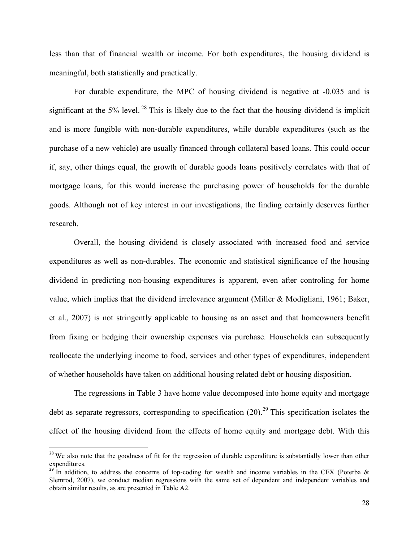less than that of financial wealth or income. For both expenditures, the housing dividend is meaningful, both statistically and practically.

For durable expenditure, the MPC of housing dividend is negative at -0.035 and is significant at the 5% level.  $^{28}$  This is likely due to the fact that the housing dividend is implicit and is more fungible with non-durable expenditures, while durable expenditures (such as the purchase of a new vehicle) are usually financed through collateral based loans. This could occur if, say, other things equal, the growth of durable goods loans positively correlates with that of mortgage loans, for this would increase the purchasing power of households for the durable goods. Although not of key interest in our investigations, the finding certainly deserves further research.

Overall, the housing dividend is closely associated with increased food and service expenditures as well as non-durables. The economic and statistical significance of the housing dividend in predicting non-housing expenditures is apparent, even after controling for home value, which implies that the dividend irrelevance argument (Miller & Modigliani, 1961; Baker, et al., 2007) is not stringently applicable to housing as an asset and that homeowners benefit from fixing or hedging their ownership expenses via purchase. Households can subsequently reallocate the underlying income to food, services and other types of expenditures, independent of whether households have taken on additional housing related debt or housing disposition.

The regressions in Table 3 have home value decomposed into home equity and mortgage debt as separate regressors, corresponding to specification  $(20)^{29}$ . This specification isolates the effect of the housing dividend from the effects of home equity and mortgage debt. With this

 $\overline{a}$ 

<sup>&</sup>lt;sup>28</sup> We also note that the goodness of fit for the regression of durable expenditure is substantially lower than other expenditures.

<sup>&</sup>lt;sup>29</sup> In addition, to address the concerns of top-coding for wealth and income variables in the CEX (Poterba & Slemrod, 2007), we conduct median regressions with the same set of dependent and independent variables and obtain similar results, as are presented in Table A2.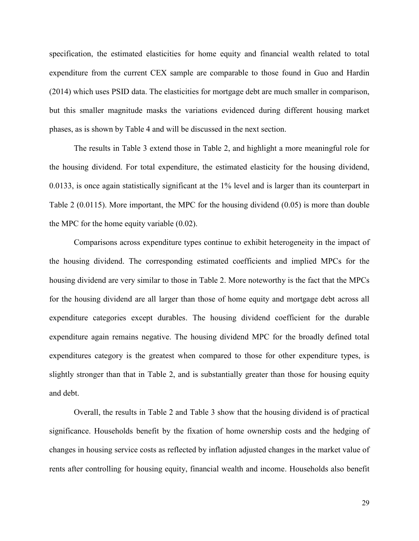specification, the estimated elasticities for home equity and financial wealth related to total expenditure from the current CEX sample are comparable to those found in Guo and Hardin (2014) which uses PSID data. The elasticities for mortgage debt are much smaller in comparison, but this smaller magnitude masks the variations evidenced during different housing market phases, as is shown by Table 4 and will be discussed in the next section.

The results in Table 3 extend those in Table 2, and highlight a more meaningful role for the housing dividend. For total expenditure, the estimated elasticity for the housing dividend, 0.0133, is once again statistically significant at the 1% level and is larger than its counterpart in Table 2 (0.0115). More important, the MPC for the housing dividend (0.05) is more than double the MPC for the home equity variable (0.02).

Comparisons across expenditure types continue to exhibit heterogeneity in the impact of the housing dividend. The corresponding estimated coefficients and implied MPCs for the housing dividend are very similar to those in Table 2. More noteworthy is the fact that the MPCs for the housing dividend are all larger than those of home equity and mortgage debt across all expenditure categories except durables. The housing dividend coefficient for the durable expenditure again remains negative. The housing dividend MPC for the broadly defined total expenditures category is the greatest when compared to those for other expenditure types, is slightly stronger than that in Table 2, and is substantially greater than those for housing equity and debt.

Overall, the results in Table 2 and Table 3 show that the housing dividend is of practical significance. Households benefit by the fixation of home ownership costs and the hedging of changes in housing service costs as reflected by inflation adjusted changes in the market value of rents after controlling for housing equity, financial wealth and income. Households also benefit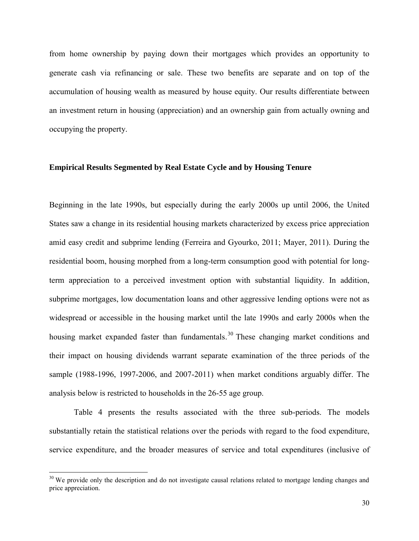from home ownership by paying down their mortgages which provides an opportunity to generate cash via refinancing or sale. These two benefits are separate and on top of the accumulation of housing wealth as measured by house equity. Our results differentiate between an investment return in housing (appreciation) and an ownership gain from actually owning and occupying the property.

# **Empirical Results Segmented by Real Estate Cycle and by Housing Tenure**

Beginning in the late 1990s, but especially during the early 2000s up until 2006, the United States saw a change in its residential housing markets characterized by excess price appreciation amid easy credit and subprime lending (Ferreira and Gyourko, 2011; Mayer, 2011). During the residential boom, housing morphed from a long-term consumption good with potential for longterm appreciation to a perceived investment option with substantial liquidity. In addition, subprime mortgages, low documentation loans and other aggressive lending options were not as widespread or accessible in the housing market until the late 1990s and early 2000s when the housing market expanded faster than fundamentals.<sup>30</sup> These changing market conditions and their impact on housing dividends warrant separate examination of the three periods of the sample (1988-1996, 1997-2006, and 2007-2011) when market conditions arguably differ. The analysis below is restricted to households in the 26-55 age group.

Table 4 presents the results associated with the three sub-periods. The models substantially retain the statistical relations over the periods with regard to the food expenditure, service expenditure, and the broader measures of service and total expenditures (inclusive of

 $\overline{\phantom{a}}$ 

 $30$  We provide only the description and do not investigate causal relations related to mortgage lending changes and price appreciation.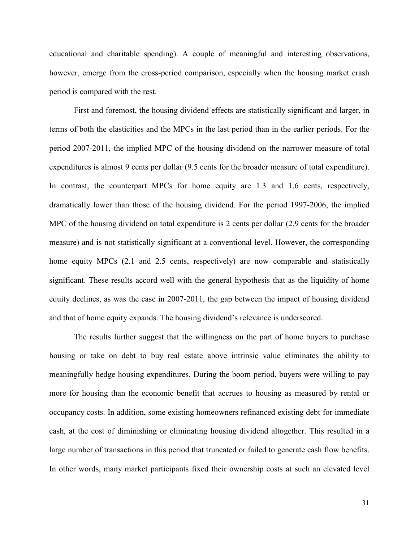educational and charitable spending). A couple of meaningful and interesting observations, however, emerge from the cross-period comparison, especially when the housing market crash period is compared with the rest.

First and foremost, the housing dividend effects are statistically significant and larger, in terms of both the elasticities and the MPCs in the last period than in the earlier periods. For the period 2007-2011, the implied MPC of the housing dividend on the narrower measure of total expenditures is almost 9 cents per dollar (9.5 cents for the broader measure of total expenditure). In contrast, the counterpart MPCs for home equity are 1.3 and 1.6 cents, respectively, dramatically lower than those of the housing dividend. For the period 1997-2006, the implied MPC of the housing dividend on total expenditure is 2 cents per dollar (2.9 cents for the broader measure) and is not statistically significant at a conventional level. However, the corresponding home equity MPCs (2.1 and 2.5 cents, respectively) are now comparable and statistically significant. These results accord well with the general hypothesis that as the liquidity of home equity declines, as was the case in 2007-2011, the gap between the impact of housing dividend and that of home equity expands. The housing dividend's relevance is underscored.

The results further suggest that the willingness on the part of home buyers to purchase housing or take on debt to buy real estate above intrinsic value eliminates the ability to meaningfully hedge housing expenditures. During the boom period, buyers were willing to pay more for housing than the economic benefit that accrues to housing as measured by rental or occupancy costs. In addition, some existing homeowners refinanced existing debt for immediate cash, at the cost of diminishing or eliminating housing dividend altogether. This resulted in a large number of transactions in this period that truncated or failed to generate cash flow benefits. In other words, many market participants fixed their ownership costs at such an elevated level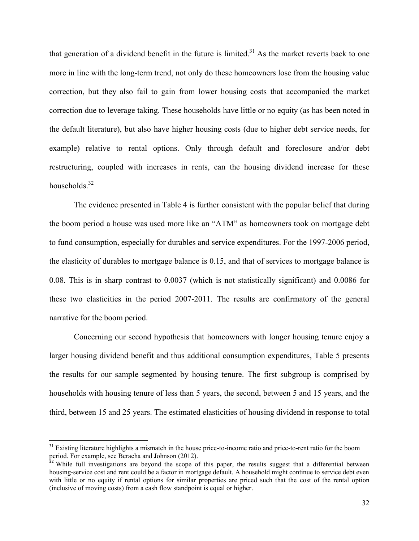that generation of a dividend benefit in the future is limited.<sup>31</sup> As the market reverts back to one more in line with the long-term trend, not only do these homeowners lose from the housing value correction, but they also fail to gain from lower housing costs that accompanied the market correction due to leverage taking. These households have little or no equity (as has been noted in the default literature), but also have higher housing costs (due to higher debt service needs, for example) relative to rental options. Only through default and foreclosure and/or debt restructuring, coupled with increases in rents, can the housing dividend increase for these households.<sup>32</sup>

The evidence presented in Table 4 is further consistent with the popular belief that during the boom period a house was used more like an "ATM" as homeowners took on mortgage debt to fund consumption, especially for durables and service expenditures. For the 1997-2006 period, the elasticity of durables to mortgage balance is 0.15, and that of services to mortgage balance is 0.08. This is in sharp contrast to 0.0037 (which is not statistically significant) and 0.0086 for these two elasticities in the period 2007-2011. The results are confirmatory of the general narrative for the boom period.

Concerning our second hypothesis that homeowners with longer housing tenure enjoy a larger housing dividend benefit and thus additional consumption expenditures, Table 5 presents the results for our sample segmented by housing tenure. The first subgroup is comprised by households with housing tenure of less than 5 years, the second, between 5 and 15 years, and the third, between 15 and 25 years. The estimated elasticities of housing dividend in response to total

l

<sup>&</sup>lt;sup>31</sup> Existing literature highlights a mismatch in the house price-to-income ratio and price-to-rent ratio for the boom period. For example, see Beracha and Johnson (2012).

<sup>&</sup>lt;sup>32</sup> While full investigations are beyond the scope of this paper, the results suggest that a differential between housing-service cost and rent could be a factor in mortgage default. A household might continue to service debt even with little or no equity if rental options for similar properties are priced such that the cost of the rental option (inclusive of moving costs) from a cash flow standpoint is equal or higher.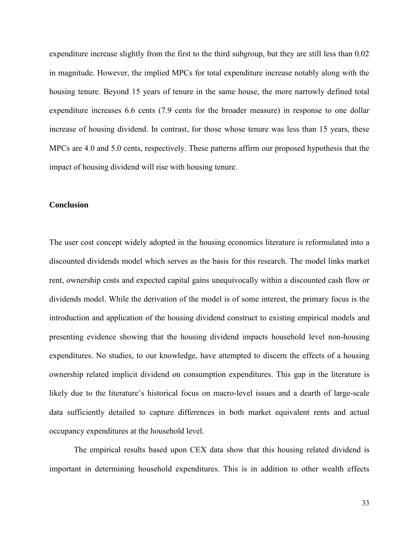expenditure increase slightly from the first to the third subgroup, but they are still less than 0.02 in magnitude. However, the implied MPCs for total expenditure increase notably along with the housing tenure. Beyond 15 years of tenure in the same house, the more narrowly defined total expenditure increases 6.6 cents (7.9 cents for the broader measure) in response to one dollar increase of housing dividend. In contrast, for those whose tenure was less than 15 years, these MPCs are 4.0 and 5.0 cents, respectively. These patterns affirm our proposed hypothesis that the impact of housing dividend will rise with housing tenure.

# **Conclusion**

The user cost concept widely adopted in the housing economics literature is reformulated into a discounted dividends model which serves as the basis for this research. The model links market rent, ownership costs and expected capital gains unequivocally within a discounted cash flow or dividends model. While the derivation of the model is of some interest, the primary focus is the introduction and application of the housing dividend construct to existing empirical models and presenting evidence showing that the housing dividend impacts household level non-housing expenditures. No studies, to our knowledge, have attempted to discern the effects of a housing ownership related implicit dividend on consumption expenditures. This gap in the literature is likely due to the literature's historical focus on macro-level issues and a dearth of large-scale data sufficiently detailed to capture differences in both market equivalent rents and actual occupancy expenditures at the household level.

The empirical results based upon CEX data show that this housing related dividend is important in determining household expenditures. This is in addition to other wealth effects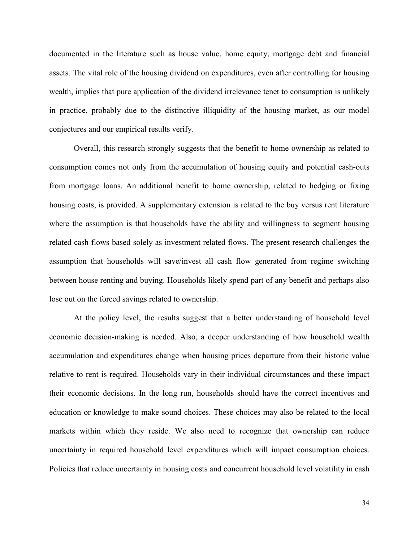documented in the literature such as house value, home equity, mortgage debt and financial assets. The vital role of the housing dividend on expenditures, even after controlling for housing wealth, implies that pure application of the dividend irrelevance tenet to consumption is unlikely in practice, probably due to the distinctive illiquidity of the housing market, as our model conjectures and our empirical results verify.

Overall, this research strongly suggests that the benefit to home ownership as related to consumption comes not only from the accumulation of housing equity and potential cash-outs from mortgage loans. An additional benefit to home ownership, related to hedging or fixing housing costs, is provided. A supplementary extension is related to the buy versus rent literature where the assumption is that households have the ability and willingness to segment housing related cash flows based solely as investment related flows. The present research challenges the assumption that households will save/invest all cash flow generated from regime switching between house renting and buying. Households likely spend part of any benefit and perhaps also lose out on the forced savings related to ownership.

At the policy level, the results suggest that a better understanding of household level economic decision-making is needed. Also, a deeper understanding of how household wealth accumulation and expenditures change when housing prices departure from their historic value relative to rent is required. Households vary in their individual circumstances and these impact their economic decisions. In the long run, households should have the correct incentives and education or knowledge to make sound choices. These choices may also be related to the local markets within which they reside. We also need to recognize that ownership can reduce uncertainty in required household level expenditures which will impact consumption choices. Policies that reduce uncertainty in housing costs and concurrent household level volatility in cash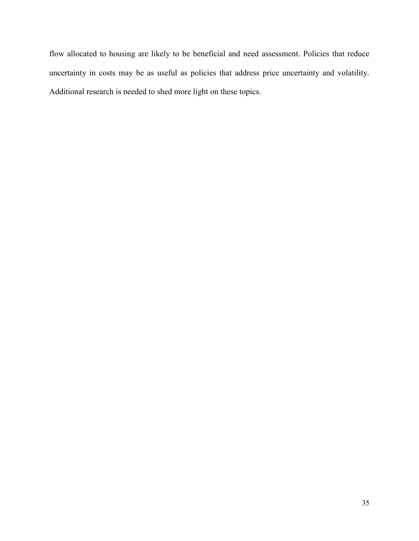flow allocated to housing are likely to be beneficial and need assessment. Policies that reduce uncertainty in costs may be as useful as policies that address price uncertainty and volatility. Additional research is needed to shed more light on these topics.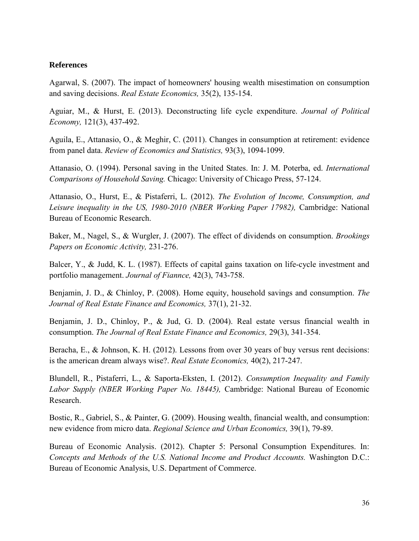# **References**

Agarwal, S. (2007). The impact of homeowners' housing wealth misestimation on consumption and saving decisions. *Real Estate Economics,* 35(2), 135-154.

Aguiar, M., & Hurst, E. (2013). Deconstructing life cycle expenditure. *Journal of Political Economy,* 121(3), 437-492.

Aguila, E., Attanasio, O., & Meghir, C. (2011). Changes in consumption at retirement: evidence from panel data. *Review of Economics and Statistics,* 93(3), 1094-1099.

Attanasio, O. (1994). Personal saving in the United States. In: J. M. Poterba, ed. *International Comparisons of Household Saving.* Chicago: University of Chicago Press, 57-124.

Attanasio, O., Hurst, E., & Pistaferri, L. (2012). *The Evolution of Income, Consumption, and*  Leisure inequality in the US, 1980-2010 (NBER Working Paper 17982), Cambridge: National Bureau of Economic Research.

Baker, M., Nagel, S., & Wurgler, J. (2007). The effect of dividends on consumption. *Brookings Papers on Economic Activity,* 231-276.

Balcer, Y., & Judd, K. L. (1987). Effects of capital gains taxation on life-cycle investment and portfolio management. *Journal of Fiannce,* 42(3), 743-758.

Benjamin, J. D., & Chinloy, P. (2008). Home equity, household savings and consumption. *The Journal of Real Estate Finance and Economics,* 37(1), 21-32.

Benjamin, J. D., Chinloy, P., & Jud, G. D. (2004). Real estate versus financial wealth in consumption. *The Journal of Real Estate Finance and Economics,* 29(3), 341-354.

Beracha, E., & Johnson, K. H. (2012). Lessons from over 30 years of buy versus rent decisions: is the american dream always wise?. *Real Estate Economics,* 40(2), 217-247.

Blundell, R., Pistaferri, L., & Saporta-Eksten, I. (2012). *Consumption Inequality and Family Labor Supply (NBER Working Paper No. 18445),* Cambridge: National Bureau of Economic Research.

Bostic, R., Gabriel, S., & Painter, G. (2009). Housing wealth, financial wealth, and consumption: new evidence from micro data. *Regional Science and Urban Economics,* 39(1), 79-89.

Bureau of Economic Analysis. (2012). Chapter 5: Personal Consumption Expenditures. In: *Concepts and Methods of the U.S. National Income and Product Accounts.* Washington D.C.: Bureau of Economic Analysis, U.S. Department of Commerce.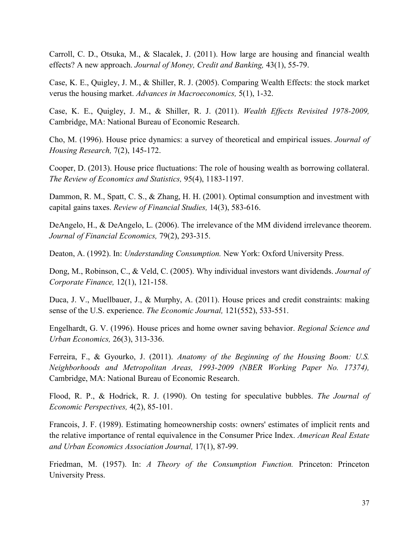Carroll, C. D., Otsuka, M., & Slacalek, J. (2011). How large are housing and financial wealth effects? A new approach. *Journal of Money, Credit and Banking,* 43(1), 55-79.

Case, K. E., Quigley, J. M., & Shiller, R. J. (2005). Comparing Wealth Effects: the stock market verus the housing market. *Advances in Macroeconomics,* 5(1), 1-32.

Case, K. E., Quigley, J. M., & Shiller, R. J. (2011). *Wealth Effects Revisited 1978-2009,*  Cambridge, MA: National Bureau of Economic Research.

Cho, M. (1996). House price dynamics: a survey of theoretical and empirical issues. *Journal of Housing Research,* 7(2), 145-172.

Cooper, D. (2013). House price fluctuations: The role of housing wealth as borrowing collateral. *The Review of Economics and Statistics,* 95(4), 1183-1197.

Dammon, R. M., Spatt, C. S., & Zhang, H. H. (2001). Optimal consumption and investment with capital gains taxes. *Review of Financial Studies,* 14(3), 583-616.

DeAngelo, H., & DeAngelo, L. (2006). The irrelevance of the MM dividend irrelevance theorem. *Journal of Financial Economics,* 79(2), 293-315.

Deaton, A. (1992). In: *Understanding Consumption.* New York: Oxford University Press.

Dong, M., Robinson, C., & Veld, C. (2005). Why individual investors want dividends. *Journal of Corporate Finance,* 12(1), 121-158.

Duca, J. V., Muellbauer, J., & Murphy, A. (2011). House prices and credit constraints: making sense of the U.S. experience. *The Economic Journal,* 121(552), 533-551.

Engelhardt, G. V. (1996). House prices and home owner saving behavior. *Regional Science and Urban Economics,* 26(3), 313-336.

Ferreira, F., & Gyourko, J. (2011). *Anatomy of the Beginning of the Housing Boom: U.S. Neighborhoods and Metropolitan Areas, 1993-2009 (NBER Working Paper No. 17374),*  Cambridge, MA: National Bureau of Economic Research.

Flood, R. P., & Hodrick, R. J. (1990). On testing for speculative bubbles. *The Journal of Economic Perspectives,* 4(2), 85-101.

Francois, J. F. (1989). Estimating homeownership costs: owners' estimates of implicit rents and the relative importance of rental equivalence in the Consumer Price Index. *American Real Estate and Urban Economics Association Journal,* 17(1), 87-99.

Friedman, M. (1957). In: *A Theory of the Consumption Function.* Princeton: Princeton University Press.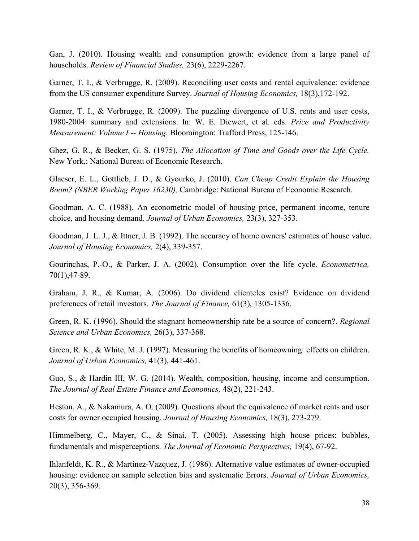Gan, J. (2010). Housing wealth and consumption growth: evidence from a large panel of households. *Review of Financial Studies,* 23(6), 2229-2267.

Garner, T. I., & Verbrugge, R. (2009). Reconciling user costs and rental equivalence: evidence from the US consumer expenditure Survey. *Journal of Housing Economics,* 18(3),172-192.

Garner, T. I., & Verbrugge, R. (2009). The puzzling divergence of U.S. rents and user costs, 1980-2004: summary and extensions. In: W. E. Diewert, et al. eds. *Price and Productivity Measurement: Volume I -- Housing.* Bloomington: Trafford Press, 125-146.

Ghez, G. R., & Becker, G. S. (1975). *The Allocation of Time and Goods over the Life Cycle.*  New York,: National Bureau of Economic Research.

Glaeser, E. L., Gottlieb, J. D., & Gyourko, J. (2010). *Can Cheap Credit Explain the Housing Boom? (NBER Working Paper 16230),* Cambridge: National Bureau of Economic Research.

Goodman, A. C. (1988). An econometric model of housing price, permanent income, tenure choice, and housing demand. *Journal of Urban Economics,* 23(3), 327-353.

Goodman, J. L. J., & Ittner, J. B. (1992). The accuracy of home owners' estimates of house value. *Journal of Housing Economics,* 2(4), 339-357.

Gourinchas, P.-O., & Parker, J. A. (2002). Consumption over the life cycle. *Econometrica,*  70(1),47-89.

Graham, J. R., & Kumar, A. (2006). Do dividend clienteles exist? Evidence on dividend preferences of retail investors. *The Journal of Finance,* 61(3), 1305-1336.

Green, R. K. (1996). Should the stagnant homeownership rate be a source of concern?. *Regional Science and Urban Economics,* 26(3), 337-368.

Green, R. K., & White, M. J. (1997). Measuring the benefits of homeowning: effects on children. *Journal of Urban Economics,* 41(3), 441-461.

Guo, S., & Hardin III, W. G. (2014). Wealth, composition, housing, income and consumption. *The Journal of Real Estate Finance and Economics,* 48(2), 221-243.

Heston, A., & Nakamura, A. O. (2009). Questions about the equivalence of market rents and user costs for owner occupied housing. *Journal of Housing Economics,* 18(3), 273-279.

Himmelberg, C., Mayer, C., & Sinai, T. (2005). Assessing high house prices: bubbles, fundamentals and misperceptions. *The Journal of Economic Perspectives,* 19(4), 67-92.

Ihlanfeldt, K. R., & Martinez-Vazquez, J. (1986). Alternative value estimates of owner-occupied housing: evidence on sample selection bias and systematic Errors. *Journal of Urban Economics,*  20(3), 356-369.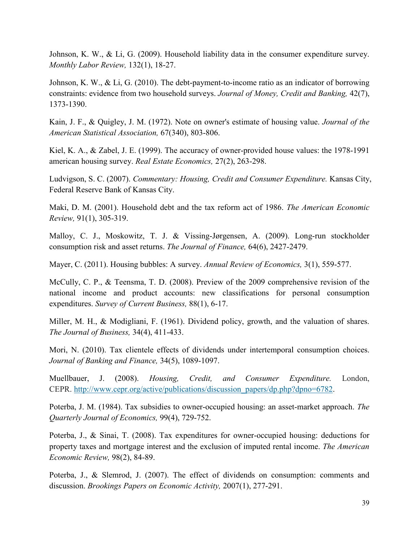Johnson, K. W., & Li, G. (2009). Household liability data in the consumer expenditure survey. *Monthly Labor Review,* 132(1), 18-27.

Johnson, K. W., & Li, G. (2010). The debt-payment-to-income ratio as an indicator of borrowing constraints: evidence from two household surveys. *Journal of Money, Credit and Banking,* 42(7), 1373-1390.

Kain, J. F., & Quigley, J. M. (1972). Note on owner's estimate of housing value. *Journal of the American Statistical Association,* 67(340), 803-806.

Kiel, K. A., & Zabel, J. E. (1999). The accuracy of owner-provided house values: the 1978-1991 american housing survey. *Real Estate Economics,* 27(2), 263-298.

Ludvigson, S. C. (2007). *Commentary: Housing, Credit and Consumer Expenditure.* Kansas City, Federal Reserve Bank of Kansas City.

Maki, D. M. (2001). Household debt and the tax reform act of 1986. *The American Economic Review,* 91(1), 305-319.

Malloy, C. J., Moskowitz, T. J. & Vissing-Jørgensen, A. (2009). Long-run stockholder consumption risk and asset returns. *The Journal of Finance,* 64(6), 2427-2479.

Mayer, C. (2011). Housing bubbles: A survey. *Annual Review of Economics,* 3(1), 559-577.

McCully, C. P., & Teensma, T. D. (2008). Preview of the 2009 comprehensive revision of the national income and product accounts: new classifications for personal consumption expenditures. *Survey of Current Business,* 88(1), 6-17.

Miller, M. H., & Modigliani, F. (1961). Dividend policy, growth, and the valuation of shares. *The Journal of Business,* 34(4), 411-433.

Mori, N. (2010). Tax clientele effects of dividends under intertemporal consumption choices. *Journal of Banking and Finance,* 34(5), 1089-1097.

Muellbauer, J. (2008). *Housing, Credit, and Consumer Expenditure.* London, CEPR. [http://www.cepr.org/active/publications/discussion\\_papers/dp.php?dpno=6782.](http://www.cepr.org/active/publications/discussion_papers/dp.php?dpno=6782)

Poterba, J. M. (1984). Tax subsidies to owner-occupied housing: an asset-market approach. *The Quarterly Journal of Economics,* 99(4), 729-752.

Poterba, J., & Sinai, T. (2008). Tax expenditures for owner-occupied housing: deductions for property taxes and mortgage interest and the exclusion of imputed rental income. *The American Economic Review,* 98(2), 84-89.

Poterba, J., & Slemrod, J. (2007). The effect of dividends on consumption: comments and discussion. *Brookings Papers on Economic Activity,* 2007(1), 277-291.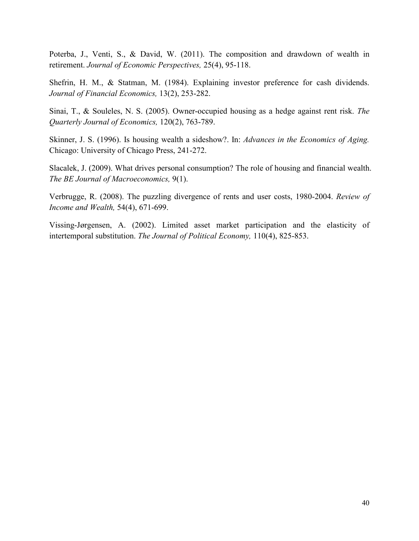Poterba, J., Venti, S., & David, W. (2011). The composition and drawdown of wealth in retirement. *Journal of Economic Perspectives,* 25(4), 95-118.

Shefrin, H. M., & Statman, M. (1984). Explaining investor preference for cash dividends. *Journal of Financial Economics,* 13(2), 253-282.

Sinai, T., & Souleles, N. S. (2005). Owner-occupied housing as a hedge against rent risk. *The Quarterly Journal of Economics,* 120(2), 763-789.

Skinner, J. S. (1996). Is housing wealth a sideshow?. In: *Advances in the Economics of Aging.*  Chicago: University of Chicago Press, 241-272.

Slacalek, J. (2009). What drives personal consumption? The role of housing and financial wealth. *The BE Journal of Macroeconomics,* 9(1).

Verbrugge, R. (2008). The puzzling divergence of rents and user costs, 1980-2004. *Review of Income and Wealth,* 54(4), 671-699.

Vissing-Jørgensen, A. (2002). Limited asset market participation and the elasticity of intertemporal substitution. *The Journal of Political Economy,* 110(4), 825-853.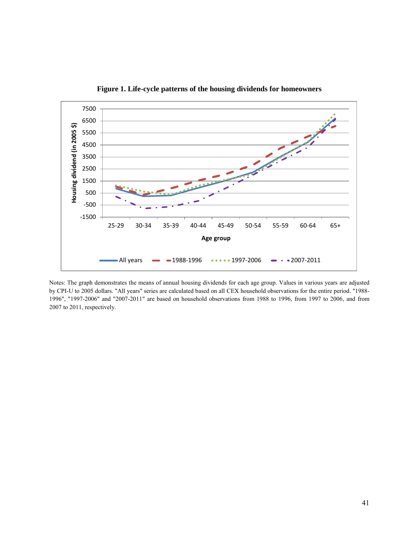

**Figure 1. Life-cycle patterns of the housing dividends for homeowners** 

Notes: The graph demonstrates the means of annual housing dividends for each age group. Values in various years are adjusted by CPI-U to 2005 dollars. "All years" series are calculated based on all CEX household observations for the entire period. "1988- 1996", "1997-2006" and "2007-2011" are based on household observations from 1988 to 1996, from 1997 to 2006, and from 2007 to 2011, respectively.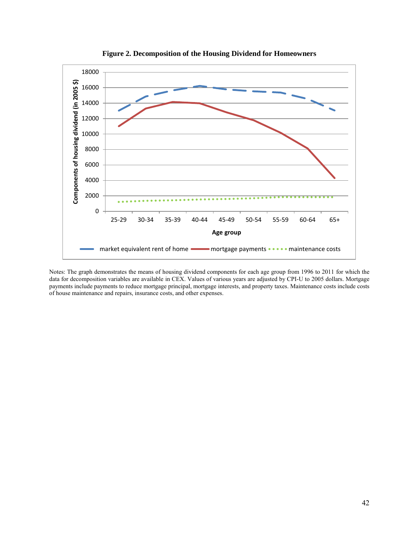

**Figure 2. Decomposition of the Housing Dividend for Homeowners**

Notes: The graph demonstrates the means of housing dividend components for each age group from 1996 to 2011 for which the data for decomposition variables are available in CEX. Values of various years are adjusted by CPI-U to 2005 dollars. Mortgage payments include payments to reduce mortgage principal, mortgage interests, and property taxes. Maintenance costs include costs of house maintenance and repairs, insurance costs, and other expenses.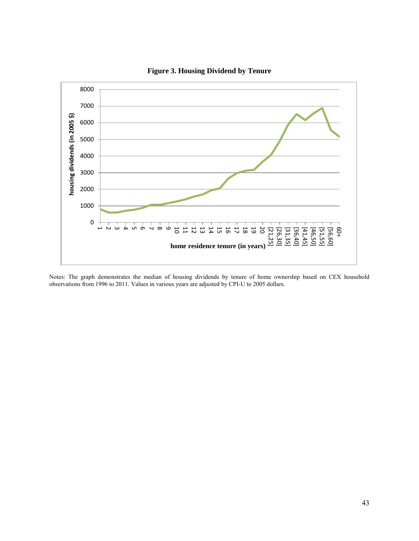

**Figure 3. Housing Dividend by Tenure** 

Notes: The graph demonstrates the median of housing dividends by tenure of home ownership based on CEX household observations from 1996 to 2011. Values in various years are adjusted by CPI-U to 2005 dollars.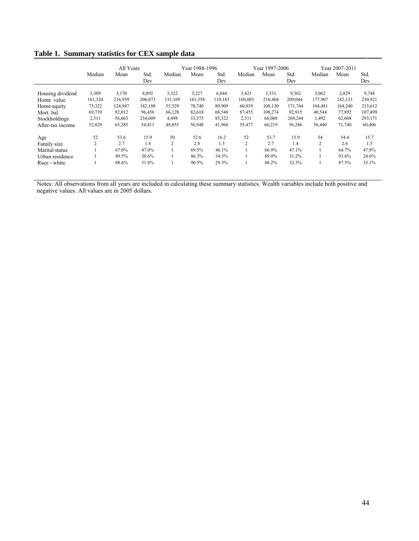**Table 1. Summary statistics for CEX sample data** 

|                  |                | All Years |         | Year 1988-1996 |         |         | Year 1997-2006 |         |         | Year 2007-2011 |         |         |
|------------------|----------------|-----------|---------|----------------|---------|---------|----------------|---------|---------|----------------|---------|---------|
|                  | Median         | Mean      | Std.    | Median         | Mean    | Std.    | Median         | Mean    | Std.    | Median         | Mean    | Std.    |
|                  |                |           | Dev     |                |         | Dev     |                |         | Dev     |                |         | Dev     |
| Housing dividend | 3,309          | 3,170     | 8,892   | 3,322          | 3,227   | 6,844   | 3,421          | 3,331   | 9,362   | 3,062          | 2,829   | 9,748   |
| Home value       | 161,324        | 216,959   | 206,873 | 131.109        | 161,358 | 110.183 | 160,085        | 216,404 | 209,044 | 177,907        | 242,133 | 230,921 |
| Home equity      | 73,322         | 124,947   | 182,188 | 55,529         | 78,740  | 89.909  | 60.039         | 108.130 | 171.744 | 104,481        | 164,240 | 213,612 |
| Mort. bal.       | 69,739         | 92,012    | 96,456  | 66,128         | 82,618  | 68,548  | 87,455         | 108,274 | 92,915  | 40,544         | 77,892  | 107,499 |
| Stockholdings    | 2,511          | 56,663    | 234,609 | 4,498          | 33,375  | 85,322  | 2,311          | 66,068  | 269,244 | 1,492          | 62,608  | 293,171 |
| After-tax income | 52,829         | 65,285    | 54,411  | 48,855         | 56,948  | 41,968  | 53,477         | 66,219  | 56,286  | 56,440         | 71.740  | 60,406  |
| Age              | 52             | 53.6      | 15.9    | 50             | 52.6    | 16.2    | 52             | 53.7    | 15.9    | 54             | 54.4    | 15.7    |
| Family size      | $\overline{2}$ | 2.7       | 1.4     | 2              | 2.8     | 1.5     | 2              | 2.7     | 1.4     | $\overline{2}$ | 2.6     | 1.5     |
| Marital status   |                | 67.0%     | 47.0%   |                | 69.5%   | 46.1%   |                | 66.9%   | 47.1%   |                | 64.7%   | 47.8%   |
| Urban residence  |                | 89.5%     | 30.6%   |                | 86.3%   | 34.3%   |                | 89.0%   | 31.2%   |                | 93.6%   | 24.6%   |
| Race - white     |                | 88.6%     | 31.8%   |                | 90.5%   | 29.3%   |                | 88.2%   | 32.3%   |                | 87.5%   | 33.1%   |

Notes: All observations from all years are included in calculating these summary statistics. Wealth variables include both positive and negative values. All values are in 2005 dollars.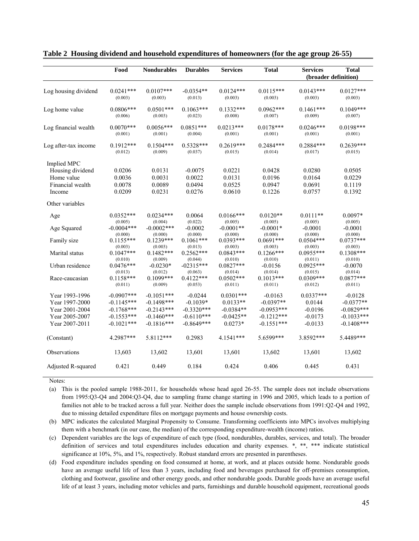|                      | Food                   | <b>Nondurables</b>      | <b>Durables</b>        | <b>Services</b>        | <b>Total</b>           | <b>Services</b><br>(broader definition) | <b>Total</b>           |
|----------------------|------------------------|-------------------------|------------------------|------------------------|------------------------|-----------------------------------------|------------------------|
| Log housing dividend | $0.0241***$<br>(0.003) | $0.0107$ ***<br>(0.003) | $-0.0354**$<br>(0.013) | $0.0124***$<br>(0.003) | $0.0115***$<br>(0.003) | $0.0143***$<br>(0.003)                  | $0.0127***$<br>(0.003) |
| Log home value       | $0.0806***$<br>(0.006) | $0.0501***$<br>(0.003)  | $0.1063***$<br>(0.023) | $0.1332***$<br>(0.008) | $0.0962***$<br>(0.007) | $0.1461***$<br>(0.009)                  | $0.1049***$<br>(0.007) |
| Log financial wealth | $0.0070***$<br>(0.001) | $0.0056***$<br>(0.001)  | $0.0851***$<br>(0.004) | $0.0213***$<br>(0.001) | $0.0178***$<br>(0.001) | $0.0246***$<br>(0.001)                  | $0.0198***$<br>(0.001) |
| Log after-tax income | $0.1912***$<br>(0.012) | $0.1504***$<br>(0.009)  | $0.5328***$<br>(0.037) | $0.2619***$<br>(0.015) | $0.2484***$<br>(0.014) | $0.2884***$<br>(0.017)                  | $0.2639***$<br>(0.015) |
| Implied MPC          |                        |                         |                        |                        |                        |                                         |                        |
| Housing dividend     | 0.0206                 | 0.0131                  | $-0.0075$              | 0.0221                 | 0.0428                 | 0.0280                                  | 0.0505                 |
| Home value           | 0.0036                 | 0.0031                  | 0.0022                 | 0.0131                 | 0.0196                 | 0.0164                                  | 0.0229                 |
| Financial wealth     | 0.0078                 | 0.0089                  | 0.0494                 | 0.0525                 | 0.0947                 | 0.0691                                  | 0.1119                 |
| Income               | 0.0209                 | 0.0231                  | 0.0276                 | 0.0610                 | 0.1226                 | 0.0757                                  | 0.1392                 |
| Other variables      |                        |                         |                        |                        |                        |                                         |                        |
| Age                  | $0.0352***$            | $0.0234***$             | 0.0064                 | $0.0166***$            | $0.0120**$             | $0.0111**$                              | $0.0097*$              |
|                      | (0.005)                | (0.004)                 | (0.022)                | (0.005)                | (0.005)                | (0.005)                                 | (0.005)                |
| Age Squared          | $-0.0004***$           | $-0.0002***$            | $-0.0002$              | $-0.0001**$            | $-0.0001*$             | $-0.0001$                               | $-0.0001$              |
|                      | (0.000)                | (0.000)                 | (0.000)                | (0.000)                | (0.000)                | (0.000)                                 | (0.000)                |
| Family size          | $0.1155***$            | $0.1239***$             | $0.1061***$            | $0.0393***$            | $0.0691***$            | $0.0504***$                             | $0.0737***$            |
| Marital status       | (0.003)<br>$0.1047***$ | (0.003)<br>$0.1482***$  | (0.013)<br>$0.2562***$ | (0.003)<br>$0.0843***$ | (0.003)<br>$0.1266***$ | (0.003)<br>$0.0955***$                  | (0.003)<br>$0.1308***$ |
|                      | (0.010)                | (0.009)                 | (0.044)                | (0.010)                | (0.010)                | (0.011)                                 | (0.010)                |
| Urban residence      | $0.0476***$            | $-0.0230*$              | $-02315***$            | $0.0827***$            | $-0.0156$              | $0.0925***$                             | $-0.0070$              |
|                      | (0.013)                | (0.012)                 | (0.063)                | (0.014)                | (0.014)                | (0.015)                                 | (0.014)                |
| Race-caucasian       | $0.1158***$            | $0.1099***$             | $0.4122***$            | $0.0502***$            | $0.1013***$            | $0.0309***$                             | $0.0877***$            |
|                      | (0.011)                | (0.009)                 | (0.053)                | (0.011)                | (0.011)                | (0.012)                                 | (0.011)                |
| Year 1993-1996       | $-0.0907$ ***          | $-0.1051***$            | $-0.0244$              | $0.0301***$            | $-0.0163$              | $0.0337***$                             | $-0.0128$              |
| Year 1997-2000       | $-0.1145***$           | $-0.1498$ ***           | $-0.1039*$             | $0.0133**$             | $-0.0397**$            | 0.0144                                  | $-0.0377**$            |
| Year 2001-2004       | $-0.1768***$           | $-0.2143***$            | $-0.3320***$           | $-0.0384**$            | $-0.0953***$           | $-0.0196$                               | $-0.0829***$           |
| Year 2005-2007       | $-0.1553***$           | $-0.1460$ ***           | $-0.6110***$           | $-0.0425**$            | $-0.1212***$           | $-0.0173$                               | $-0.1033***$           |
| Year 2007-2011       | $-0.1021***$           | $-0.1816***$            | $-0.8649***$           | $0.0273*$              | $-0.1551***$           | $-0.0133$                               | $-0.1408$ ***          |
| (Constant)           | 4.2987***              | 5.8112***               | 0.2983                 | 4.1541***              | 5.6599***              | 3.8592***                               | 5.4489***              |
| Observations         | 13,603                 | 13,602                  | 13,601                 | 13,601                 | 13,602                 | 13,601                                  | 13,602                 |
| Adjusted R-squared   | 0.421                  | 0.449                   | 0.184                  | 0.424                  | 0.406                  | 0.445                                   | 0.431                  |

#### **Table 2 Housing dividend and household expenditures of homeowners (for the age group 26-55)**

Notes:

(a) This is the pooled sample 1988-2011, for households whose head aged 26-55. The sample does not include observations from 1995:Q3-Q4 and 2004:Q3-Q4, due to sampling frame change starting in 1996 and 2005, which leads to a portion of families not able to be tracked across a full year. Neither does the sample include observations from 1991:Q2-Q4 and 1992, due to missing detailed expenditure files on mortgage payments and house ownership costs.

(b) MPC indicates the calculated Marginal Propensity to Consume. Transforming coefficients into MPCs involves multiplying them with a benchmark (in our case, the median) of the corresponding expenditure-wealth (income) ratios.

(c) Dependent variables are the logs of expenditure of each type (food, nondurables, durables, services, and total). The broader definition of services and total expenditures includes education and charity expenses. \*, \*\*, \*\*\* indicate statistical significance at 10%, 5%, and 1%, respectively. Robust standard errors are presented in parentheses.

(d) Food expenditure includes spending on food consumed at home, at work, and at places outside home. Nondurable goods have an average useful life of less than 3 years, including food and beverages purchased for off-premises consumption, clothing and footwear, gasoline and other energy goods, and other nondurable goods. Durable goods have an average useful life of at least 3 years, including motor vehicles and parts, furnishings and durable household equipment, recreational goods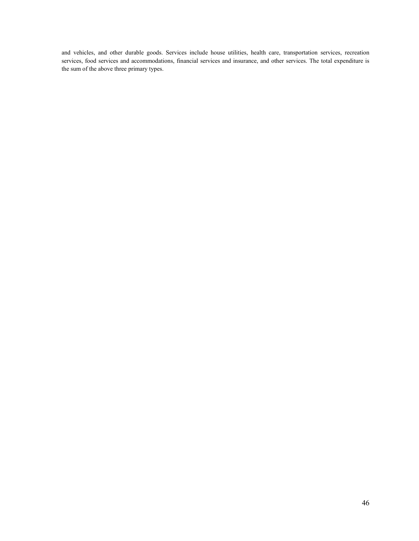and vehicles, and other durable goods. Services include house utilities, health care, transportation services, recreation services, food services and accommodations, financial services and insurance, and other services. The total expenditure is the sum of the above three primary types.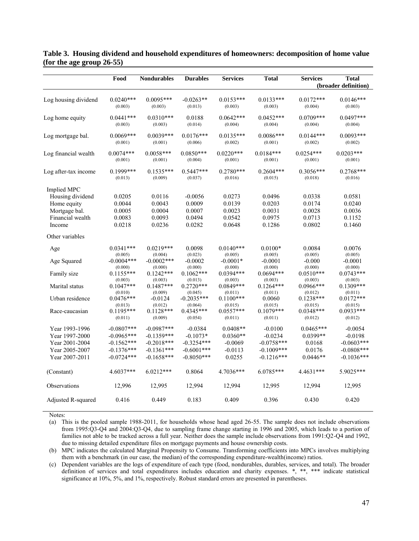|                                                                                               | Food                                                                          | <b>Nondurables</b>                                                           | <b>Durables</b>                                                          | <b>Services</b>                                                | <b>Total</b>                                                            | <b>Services</b>                                             | <b>Total</b><br>(broader definition)                                     |
|-----------------------------------------------------------------------------------------------|-------------------------------------------------------------------------------|------------------------------------------------------------------------------|--------------------------------------------------------------------------|----------------------------------------------------------------|-------------------------------------------------------------------------|-------------------------------------------------------------|--------------------------------------------------------------------------|
| Log housing dividend                                                                          | $0.0240***$<br>(0.003)                                                        | $0.0095***$<br>(0.003)                                                       | $-0.0263**$<br>(0.013)                                                   | $0.0153***$<br>(0.003)                                         | $0.0133***$<br>(0.003)                                                  | $0.0172***$<br>(0.004)                                      | $0.0146***$<br>(0.003)                                                   |
| Log home equity                                                                               | $0.0441***$<br>(0.003)                                                        | $0.0310***$<br>(0.003)                                                       | 0.0188<br>(0.014)                                                        | $0.0642***$<br>(0.004)                                         | $0.0452***$<br>(0.004)                                                  | $0.0709***$<br>(0.004)                                      | $0.0497***$<br>(0.004)                                                   |
| Log mortgage bal.                                                                             | $0.0069***$<br>(0.001)                                                        | $0.0039***$<br>(0.001)                                                       | $0.0176***$<br>(0.006)                                                   | $0.0135***$<br>(0.002)                                         | $0.0086***$<br>(0.001)                                                  | $0.0144***$<br>(0.002)                                      | $0.0093***$<br>(0.002)                                                   |
| Log financial wealth                                                                          | $0.0074***$<br>(0.001)                                                        | $0.0058***$<br>(0.001)                                                       | $0.0850***$<br>(0.004)                                                   | $0.0220***$<br>(0.001)                                         | $0.0184***$<br>(0.001)                                                  | $0.0254***$<br>(0.001)                                      | $0.0203***$<br>(0.001)                                                   |
| Log after-tax income                                                                          | $0.1999***$<br>(0.013)                                                        | $0.1535***$<br>(0.009)                                                       | $0.5447***$<br>(0.037)                                                   | $0.2780***$<br>(0.016)                                         | $0.2604***$<br>(0.015)                                                  | $0.3056***$<br>(0.018)                                      | $0.2768***$<br>(0.016)                                                   |
| Implied MPC<br>Housing dividend<br>Home equity<br>Mortgage bal.<br>Financial wealth<br>Income | 0.0205<br>0.0044<br>0.0005<br>0.0083<br>0.0218                                | 0.0116<br>0.0043<br>0.0004<br>0.0093<br>0.0236                               | $-0.0056$<br>0.0009<br>0.0007<br>0.0494<br>0.0282                        | 0.0273<br>0.0139<br>0.0023<br>0.0542<br>0.0648                 | 0.0496<br>0.0203<br>0.0031<br>0.0975<br>0.1286                          | 0.0338<br>0.0174<br>0.0028<br>0.0713<br>0.0802              | 0.0581<br>0.0240<br>0.0036<br>0.1152<br>0.1460                           |
| Other variables                                                                               |                                                                               |                                                                              |                                                                          |                                                                |                                                                         |                                                             |                                                                          |
| Age<br>Age Squared<br>Family size                                                             | $0.0341***$<br>(0.005)<br>$-0.0004***$<br>(0.000)<br>$0.1155***$              | $0.0219***$<br>(0.004)<br>$-0.0002$ ***<br>(0.000)<br>$0.1242***$            | 0.0098<br>(0.023)<br>$-0.0002$<br>(0.000)<br>$0.1062***$                 | $0.0140***$<br>(0.005)<br>$-0.0001*$<br>(0.000)<br>$0.0394***$ | $0.0100*$<br>(0.005)<br>$-0.0001$<br>(0.000)<br>$0.0694***$             | 0.0084<br>(0.005)<br>$-0.000$<br>(0.000)<br>$0.0510***$     | 0.0076<br>(0.005)<br>$-0.0001$<br>(0.000)<br>$0.0743***$                 |
| Marital status                                                                                | (0.003)<br>$0.1047***$<br>(0.010)                                             | (0.003)<br>$0.1487***$<br>(0.009)                                            | (0.013)<br>$0.2720***$<br>(0.045)                                        | (0.003)<br>$0.0849***$<br>(0.011)                              | (0.003)<br>$0.1264***$<br>(0.011)                                       | (0.003)<br>$0.0966$ ***<br>(0.012)                          | (0.003)<br>$0.1309***$<br>(0.011)                                        |
| Urban residence<br>Race-caucasian                                                             | $0.0476***$<br>(0.013)<br>$0.1195***$<br>(0.011)                              | $-0.0124$<br>(0.012)<br>$0.1128***$<br>(0.009)                               | $-0.2035***$<br>(0.064)<br>$0.4345***$<br>(0.054)                        | $0.1100***$<br>(0.015)<br>$0.0557***$<br>(0.011)               | 0.0060<br>(0.015)<br>$0.1079***$<br>(0.011)                             | $0.1238***$<br>(0.015)<br>$0.0348***$<br>(0.012)            | $0.0172***$<br>(0.015)<br>$0.0933***$<br>(0.012)                         |
| Year 1993-1996<br>Year 1997-2000<br>Year 2001-2004<br>Year 2005-2007<br>Year 2007-2011        | $-0.0807$ ***<br>$-0.0965***$<br>$-0.1562***$<br>$-0.1376***$<br>$-0.0724***$ | $-0.0987***$<br>$-0.1359***$<br>$-0.2018***$<br>$-0.1361***$<br>$-0.1658***$ | $-0.0384$<br>$-0.1073*$<br>$-0.3254***$<br>$-0.6001$ ***<br>$-0.8050***$ | $0.0408**$<br>$0.0360**$<br>$-0.0069$<br>$-0.0113$<br>0.0255   | $-0.0100$<br>$-0.0234$<br>$-0.0758***$<br>$-0.1009$ ***<br>$-0.1216***$ | $0.0465***$<br>$0.0399**$<br>0.0168<br>0.0176<br>$0.0446**$ | $-0.0054$<br>$-0.0198$<br>$-0.0603$ ***<br>$-0.0808$ ***<br>$-0.1036***$ |
| (Constant)                                                                                    | $4.6037***$                                                                   | $6.0212***$                                                                  | 0.8064                                                                   | 4.7036***                                                      | $6.0785***$                                                             | $4.4631***$                                                 | 5.9025***                                                                |
| Observations                                                                                  | 12,996                                                                        | 12,995                                                                       | 12,994                                                                   | 12,994                                                         | 12,995                                                                  | 12,994                                                      | 12,995                                                                   |
| Adjusted R-squared                                                                            | 0.416                                                                         | 0.449                                                                        | 0.183                                                                    | 0.409                                                          | 0.396                                                                   | 0.430                                                       | 0.420                                                                    |

#### **Table 3. Housing dividend and household expenditures of homeowners: decomposition of home value (for the age group 26-55)**

Notes:

(a) This is the pooled sample 1988-2011, for households whose head aged 26-55. The sample does not include observations from 1995:Q3-Q4 and 2004:Q3-Q4, due to sampling frame change starting in 1996 and 2005, which leads to a portion of families not able to be tracked across a full year. Neither does the sample include observations from 1991:Q2-Q4 and 1992, due to missing detailed expenditure files on mortgage payments and house ownership costs.

(b) MPC indicates the calculated Marginal Propensity to Consume. Transforming coefficients into MPCs involves multiplying them with a benchmark (in our case, the median) of the corresponding expenditure-wealth(income) ratios.

(c) Dependent variables are the logs of expenditure of each type (food, nondurables, durables, services, and total). The broader definition of services and total expenditures includes education and charity expenses. \*, \*\*, \*\*\* indicate statistical significance at 10%, 5%, and 1%, respectively. Robust standard errors are presented in parentheses.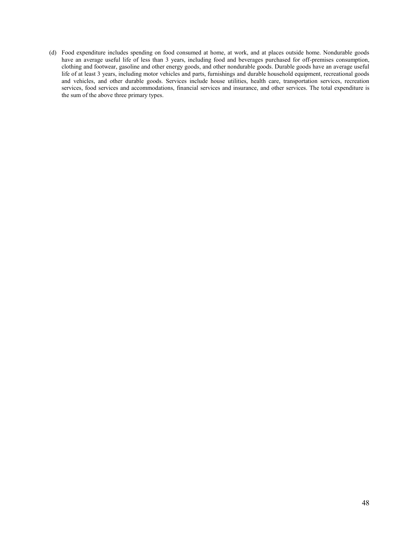(d) Food expenditure includes spending on food consumed at home, at work, and at places outside home. Nondurable goods have an average useful life of less than 3 years, including food and beverages purchased for off-premises consumption, clothing and footwear, gasoline and other energy goods, and other nondurable goods. Durable goods have an average useful life of at least 3 years, including motor vehicles and parts, furnishings and durable household equipment, recreational goods and vehicles, and other durable goods. Services include house utilities, health care, transportation services, recreation services, food services and accommodations, financial services and insurance, and other services. The total expenditure is the sum of the above three primary types.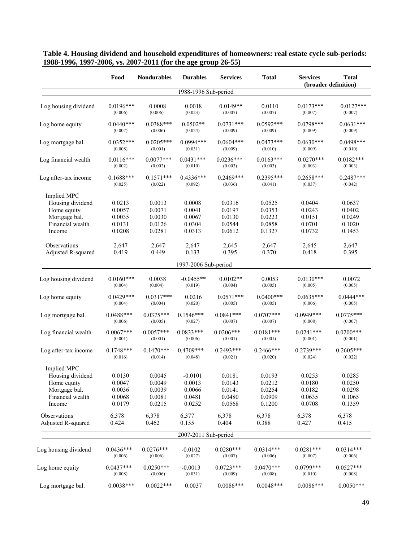|                                                                                               | Food                                           | <b>Nondurables</b><br><b>Durables</b><br><b>Services</b> |                                                   |                                                | <b>Total</b>                                   | <b>Total</b><br><b>Services</b><br>(broader definition) |                                                |  |
|-----------------------------------------------------------------------------------------------|------------------------------------------------|----------------------------------------------------------|---------------------------------------------------|------------------------------------------------|------------------------------------------------|---------------------------------------------------------|------------------------------------------------|--|
|                                                                                               |                                                |                                                          | 1988-1996 Sub-period                              |                                                |                                                |                                                         |                                                |  |
| Log housing dividend                                                                          | $0.0196***$                                    | 0.0008                                                   | 0.0018                                            | $0.0149**$                                     | 0.0110                                         | $0.0173***$                                             | $0.0127***$                                    |  |
|                                                                                               | (0.006)                                        | (0.006)                                                  | (0.023)                                           | (0.007)                                        | (0.007)                                        | (0.007)                                                 | (0.007)                                        |  |
| Log home equity                                                                               | $0.0440***$                                    | $0.0388***$                                              | $0.0502**$                                        | $0.0731***$                                    | $0.0592***$                                    | $0.0798***$                                             | $0.0631***$                                    |  |
|                                                                                               | (0.007)                                        | (0.006)                                                  | (0.024)                                           | (0.009)                                        | (0.009)                                        | (0.009)                                                 | (0.009)                                        |  |
| Log mortgage bal.                                                                             | $0.0352***$                                    | $0.0205***$                                              | $0.0994***$                                       | $0.0604***$                                    | $0.0473***$                                    | $0.0630***$                                             | $0.0498***$                                    |  |
|                                                                                               | (0.008)                                        | (0.001)                                                  | (0.031)                                           | (0.009)                                        | (0.010)                                        | (0.009)                                                 | (0.010)                                        |  |
| Log financial wealth                                                                          | $0.0116***$                                    | $0.0077***$                                              | $0.0431***$                                       | $0.0236***$                                    | $0.0163***$                                    | $0.0270***$                                             | $0.0182***$                                    |  |
|                                                                                               | (0.002)                                        | (0.002)                                                  | (0.010)                                           | (0.003)                                        | (0.003)                                        | (0.003)                                                 | (0.003)                                        |  |
| Log after-tax income                                                                          | $0.1688***$                                    | $0.1571***$                                              | $0.4336***$                                       | $0.2469***$                                    | $0.2395***$                                    | $0.2658***$                                             | $0.2487***$                                    |  |
|                                                                                               | (0.025)                                        | (0.022)                                                  | (0.092)                                           | (0.036)                                        | (0.041)                                        | (0.037)                                                 | (0.042)                                        |  |
| Implied MPC<br>Housing dividend<br>Home equity<br>Mortgage bal.<br>Financial wealth<br>Income | 0.0213<br>0.0057<br>0.0035<br>0.0131<br>0.0208 | 0.0013<br>0.0071<br>0.0030<br>0.0126<br>0.0281           | 0.0008<br>0.0041<br>0.0067<br>0.0304<br>0.0313    | 0.0316<br>0.0197<br>0.0130<br>0.0544<br>0.0612 | 0.0525<br>0.0353<br>0.0223<br>0.0858<br>0.1327 | 0.0404<br>0.0243<br>0.0151<br>0.0701<br>0.0732          | 0.0637<br>0.0402<br>0.0249<br>0.1020<br>0.1453 |  |
| Observations                                                                                  | 2,647                                          | 2,647                                                    | 2,647                                             | 2,645                                          | 2,647                                          | 2,645                                                   | 2,647                                          |  |
| Adjusted R-squared                                                                            | 0.419                                          | 0.449                                                    | 0.133                                             | 0.395                                          | 0.370                                          | 0.418                                                   | 0.395                                          |  |
|                                                                                               |                                                |                                                          | 1997-2006 Sub-period                              |                                                |                                                |                                                         |                                                |  |
| Log housing dividend                                                                          | $0.0160***$                                    | 0.0038                                                   | $-0.0455**$                                       | $0.0102**$                                     | 0.0053                                         | $0.0130***$                                             | 0.0072                                         |  |
|                                                                                               | (0.004)                                        | (0.004)                                                  | (0.019)                                           | (0.004)                                        | (0.005)                                        | (0.005)                                                 | (0.005)                                        |  |
| Log home equity                                                                               | $0.0429***$                                    | $0.0317***$                                              | 0.0216                                            | $0.0571***$                                    | $0.0400***$                                    | $0.0635***$                                             | $0.0444***$                                    |  |
|                                                                                               | (0.004)                                        | (0.004)                                                  | (0.020)                                           | (0.005)                                        | (0.005)                                        | (0.006)                                                 | (0.005)                                        |  |
| Log mortgage bal.                                                                             | $0.0488***$                                    | $0.0375***$                                              | $0.1546***$                                       | $0.0841***$                                    | $0.0707***$                                    | $0.0949***$                                             | $0.0775***$                                    |  |
|                                                                                               | (0.006)                                        | (0.005)                                                  | (0.027)                                           | (0.007)                                        | (0.007)                                        | (0.008)                                                 | (0.007)                                        |  |
| Log financial wealth                                                                          | $0.0067***$                                    | $0.0057***$                                              | $0.0833***$                                       | $0.0206***$                                    | $0.0181***$                                    | $0.0241***$                                             | $0.0200***$                                    |  |
|                                                                                               | (0.001)                                        | (0.001)                                                  | (0.006)                                           | (0.001)                                        | (0.001)                                        | (0.001)                                                 | (0.001)                                        |  |
| Log after-tax income                                                                          | $0.1748***$                                    | $0.1470***$                                              | $0.4709***$                                       | $0.2493***$                                    | $0.2466***$                                    | $0.2739***$                                             | $0.2605***$                                    |  |
|                                                                                               | (0.016)                                        | (0.014)                                                  | (0.048)                                           | (0.021)                                        | (0.020)                                        | (0.024)                                                 | (0.022)                                        |  |
| Implied MPC<br>Housing dividend<br>Home equity<br>Mortgage bal.<br>Financial wealth<br>Income | 0.0130<br>0.0047<br>0.0036<br>0.0068<br>0.0179 | 0.0045<br>0.0049<br>0.0039<br>0.0081<br>0.0215           | $-0.0101$<br>0.0013<br>0.0066<br>0.0481<br>0.0252 | 0.0181<br>0.0143<br>0.0141<br>0.0480<br>0.0568 | 0.0193<br>0.0212<br>0.0254<br>0.0909<br>0.1200 | 0.0253<br>0.0180<br>0.0182<br>0.0635<br>0.0708          | 0.0285<br>0.0250<br>0.0298<br>0.1065<br>0.1359 |  |
| Observations                                                                                  | 6,378                                          | 6,378                                                    | 6,377                                             | 6,378                                          | 6,378                                          | 6,378                                                   | 6,378                                          |  |
| Adjusted R-squared                                                                            | 0.424                                          | 0.462                                                    | 0.155                                             | 0.404                                          | 0.388                                          | 0.427                                                   | 0.415                                          |  |
|                                                                                               |                                                |                                                          | 2007-2011 Sub-period                              |                                                |                                                |                                                         |                                                |  |
| Log housing dividend                                                                          | $0.0436***$                                    | $0.0276***$                                              | $-0.0102$                                         | $0.0280***$                                    | $0.0314***$                                    | $0.0281***$                                             | $0.0314***$                                    |  |
|                                                                                               | (0.006)                                        | (0.006)                                                  | (0.027)                                           | (0.007)                                        | (0.006)                                        | (0.007)                                                 | (0.006)                                        |  |
| Log home equity                                                                               | $0.0437***$                                    | $0.0250***$                                              | $-0.0013$                                         | $0.0723***$                                    | $0.0470***$                                    | $0.0799***$                                             | $0.0527***$                                    |  |
|                                                                                               | (0.008)                                        | (0.006)                                                  | (0.031)                                           | (0.009)                                        | (0.008)                                        | (0.010)                                                 | (0.008)                                        |  |
| Log mortgage bal.                                                                             | $0.0038***$                                    | $0.0022***$                                              | 0.0037                                            | $0.0086***$                                    | $0.0048***$                                    | $0.0086***$                                             | $0.0050***$                                    |  |

**Table 4. Housing dividend and household expenditures of homeowners: real estate cycle sub-periods: 1988-1996, 1997-2006, vs. 2007-2011 (for the age group 26-55)**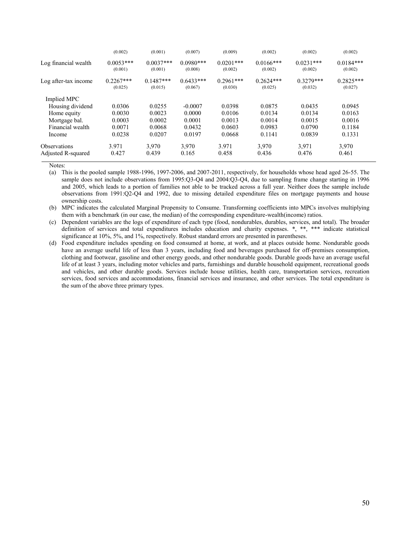|                      | (0.002)                | (0.001)                | (0.007)                | (0.009)                | (0.002)                | (0.002)                | (0.002)                |
|----------------------|------------------------|------------------------|------------------------|------------------------|------------------------|------------------------|------------------------|
| Log financial wealth | $0.0053***$<br>(0.001) | $0.0037***$<br>(0.001) | $0.0980***$<br>(0.008) | $0.0201***$<br>(0.002) | $0.0166***$<br>(0.002) | $0.0231***$<br>(0.002) | $0.0184***$<br>(0.002) |
| Log after-tax income | $0.2267***$<br>(0.025) | $0.1487***$<br>(0.015) | $0.6433***$<br>(0.067) | $0.2961***$<br>(0.030) | $0.2624***$<br>(0.025) | $0.3279***$<br>(0.032) | $0.2825***$<br>(0.027) |
| Implied MPC          |                        |                        |                        |                        |                        |                        |                        |
| Housing dividend     | 0.0306                 | 0.0255                 | $-0.0007$              | 0.0398                 | 0.0875                 | 0.0435                 | 0.0945                 |
| Home equity          | 0.0030                 | 0.0023                 | 0.0000                 | 0.0106                 | 0.0134                 | 0.0134                 | 0.0163                 |
| Mortgage bal.        | 0.0003                 | 0.0002                 | 0.0001                 | 0.0013                 | 0.0014                 | 0.0015                 | 0.0016                 |
| Financial wealth     | 0.0071                 | 0.0068                 | 0.0432                 | 0.0603                 | 0.0983                 | 0.0790                 | 0.1184                 |
| Income               | 0.0238                 | 0.0207                 | 0.0197                 | 0.0668                 | 0.1141                 | 0.0839                 | 0.1331                 |
| <b>Observations</b>  | 3.971                  | 3.970                  | 3.970                  | 3.971                  | 3,970                  | 3,971                  | 3,970                  |
| Adjusted R-squared   | 0.427                  | 0.439                  | 0.165                  | 0.458                  | 0.436                  | 0.476                  | 0.461                  |

Notes:

(a) This is the pooled sample 1988-1996, 1997-2006, and 2007-2011, respectively, for households whose head aged 26-55. The sample does not include observations from 1995:Q3-Q4 and 2004:Q3-Q4, due to sampling frame change starting in 1996 and 2005, which leads to a portion of families not able to be tracked across a full year. Neither does the sample include observations from 1991:Q2-Q4 and 1992, due to missing detailed expenditure files on mortgage payments and house ownership costs.

(b) MPC indicates the calculated Marginal Propensity to Consume. Transforming coefficients into MPCs involves multiplying them with a benchmark (in our case, the median) of the corresponding expenditure-wealth(income) ratios.

(c) Dependent variables are the logs of expenditure of each type (food, nondurables, durables, services, and total). The broader definition of services and total expenditures includes education and charity expenses. \*, \*\*, \*\*\* indicate statistical significance at 10%, 5%, and 1%, respectively. Robust standard errors are presented in parentheses.

(d) Food expenditure includes spending on food consumed at home, at work, and at places outside home. Nondurable goods have an average useful life of less than 3 years, including food and beverages purchased for off-premises consumption, clothing and footwear, gasoline and other energy goods, and other nondurable goods. Durable goods have an average useful life of at least 3 years, including motor vehicles and parts, furnishings and durable household equipment, recreational goods and vehicles, and other durable goods. Services include house utilities, health care, transportation services, recreation services, food services and accommodations, financial services and insurance, and other services. The total expenditure is the sum of the above three primary types.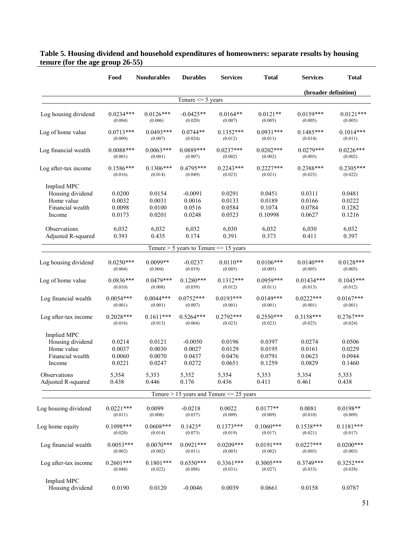|                                                                             | Food                                 | <b>Nondurables</b>                   | <b>Durables</b>                         | <b>Services</b>                                | <b>Total</b>                          | <b>Services</b>                      | <b>Total</b>                         |
|-----------------------------------------------------------------------------|--------------------------------------|--------------------------------------|-----------------------------------------|------------------------------------------------|---------------------------------------|--------------------------------------|--------------------------------------|
|                                                                             |                                      |                                      |                                         |                                                |                                       | (broader definition)                 |                                      |
|                                                                             |                                      |                                      | Tenure $\leq$ 5 years                   |                                                |                                       |                                      |                                      |
| Log housing dividend                                                        | $0.0234***$                          | $0.0126***$                          | $-0.0425**$                             | $0.0164**$                                     | $0.0121**$                            | $0.0159***$                          | $0.0121***$                          |
|                                                                             | (0.004)                              | (0.006)                              | (0.020)                                 | (0.007)                                        | (0.005)                               | (0.005)                              | (0.005)                              |
| Log of home value                                                           | $0.0713***$                          | $0.0493***$                          | $0.0744**$                              | $0.1352***$                                    | $0.0931***$                           | $0.1485***$                          | $0.1014***$                          |
|                                                                             | (0.009)                              | (0.007)                              | (0.024)                                 | (0.012)                                        | (0.011)                               | (0.014)                              | (0.011)                              |
| Log financial wealth                                                        | $0.0088***$                          | $0.0063***$                          | $0.0889***$                             | $0.0237***$                                    | $0.0202***$                           | $0.0279***$                          | $0.0226***$                          |
|                                                                             | (0.001)                              | (0.001)                              | (0.007)                                 | (0.002)                                        | (0.002)                               | (0.003)                              | (0.002)                              |
| Log after-tax income                                                        | $0.1586***$                          | $0.1306***$                          | $0.4795***$                             | $0.2243***$                                    | $0.2227***$                           | $0.2388***$                          | $0.2305***$                          |
|                                                                             | (0.016)                              | (0.014)                              | (0.049)                                 | (0.023)                                        | (0.021)                               | (0.025)                              | (0.022)                              |
| Implied MPC<br>Housing dividend<br>Home value<br>Financial wealth<br>Income | 0.0200<br>0.0032<br>0.0098<br>0.0173 | 0.0154<br>0.0031<br>0.0100<br>0.0201 | $-0.0091$<br>0.0016<br>0.0516<br>0.0248 | 0.0291<br>0.0133<br>0.0584<br>0.0523           | 0.0451<br>0.0189<br>0.1074<br>0.10998 | 0.0311<br>0.0166<br>0.0784<br>0.0627 | 0.0481<br>0.0222<br>0.1282<br>0.1216 |
| Observations                                                                | 6,032                                | 6,032                                | 6,032                                   | 6,030                                          | 6,032                                 | 6,030                                | 6,032                                |
| Adjusted R-squared                                                          | 0.393                                | 0.435                                | 0.174                                   | 0.391                                          | 0.373                                 | 0.411                                | 0.397                                |
|                                                                             |                                      |                                      |                                         | Tenure $> 5$ years to Tenure $\leq 15$ years   |                                       |                                      |                                      |
| Log housing dividend                                                        | $0.0250***$                          | $0.0099**$                           | $-0.0237$                               | $0.0110**$                                     | $0.0106***$                           | $0.0140***$                          | $0.0128***$                          |
|                                                                             | (0.004)                              | (0.004)                              | (0.019)                                 | (0.005)                                        | (0.005)                               | (0.005)                              | (0.005)                              |
| Log of home value                                                           | $0.0836***$                          | $0.0479***$                          | $0.1280***$                             | $0.1312***$                                    | 0.0959***                             | $0.01434***$                         | $0.1045***$                          |
|                                                                             | (0.010)                              | (0.008)                              | (0.039)                                 | (0.012)                                        | (0.011)                               | (0.013)                              | (0.012)                              |
| Log financial wealth                                                        | $0.0054***$                          | $0.0044***$                          | $0.0752***$                             | $0.0193***$                                    | $0.0149***$                           | $0.0222***$                          | $0.0167***$                          |
|                                                                             | (0.001)                              | (0.001)                              | (0.007)                                 | (0.001)                                        | (0.001)                               | (0.001)                              | (0.001)                              |
| Log after-tax income                                                        | $0.2028***$                          | $0.1611***$                          | $0.5264***$                             | $0.2792***$                                    | $0.2550***$                           | $0.3158***$                          | $0.2767***$                          |
|                                                                             | (0.016)                              | (0.013)                              | (0.064)                                 | (0.023)                                        | (0.023)                               | (0.025)                              | (0.024)                              |
| Implied MPC<br>Housing dividend<br>Home value<br>Financial wealth<br>Income | 0.0214<br>0.0037<br>0.0060<br>0.0221 | 0.0121<br>0.0030<br>0.0070<br>0.0247 | $-0.0050$<br>0.0027<br>0.0437<br>0.0272 | 0.0196<br>0.0129<br>0.0476<br>0.0651           | 0.0397<br>0.0195<br>0.0791<br>0.1259  | 0.0274<br>0.0161<br>0.0623<br>0.0829 | 0.0506<br>0.0229<br>0.0944<br>0.1460 |
| Observations                                                                | 5,354                                | 5,353                                | 5,352                                   | 5,354                                          | 5,353                                 | 5,354                                | 5,353                                |
| Adjusted R-squared                                                          | 0.438                                | 0.446                                | 0.176                                   | 0.436                                          | 0.411                                 | 0.461                                | 0.438                                |
|                                                                             |                                      |                                      |                                         | Tenure $> 15$ years and Tenure $\leq 25$ years |                                       |                                      |                                      |
| Log housing dividend                                                        | $0.0221***$                          | 0.0099                               | $-0.0218$                               | 0.0022                                         | $0.0177**$                            | 0.0081                               | $0.0198**$                           |
|                                                                             | (0.011)                              | (0.008)                              | (0.037)                                 | (0.009)                                        | (0.009)                               | (0.010)                              | (0.009)                              |
| Log home equity                                                             | $0.1098***$                          | $0.0608***$                          | $0.1423*$                               | $0.1373***$                                    | $0.1060***$                           | $0.1538***$                          | $0.1181***$                          |
|                                                                             | (0.020)                              | (0.014)                              | (0.073)                                 | (0.019)                                        | (0.017)                               | (0.021)                              | (0.017)                              |
| Log financial wealth                                                        | $0.0053***$                          | $0.0070***$                          | $0.0921***$                             | $0.0209***$                                    | $0.0191***$                           | $0.0227***$                          | $0.0200***$                          |
|                                                                             | (0.002)                              | (0.002)                              | (0.011)                                 | (0.003)                                        | (0.002)                               | (0.003)                              | (0.003)                              |
| Log after-tax income                                                        | $0.2601***$                          | $0.1801***$                          | $0.6550***$                             | $0.3361***$                                    | $0.3005***$                           | $0.3749***$                          | $0.3252***$                          |
|                                                                             | (0.048)                              | (0.022)                              | (0.088)                                 | (0.031)                                        | (0.027)                               | (0.033)                              | (0.028)                              |
| Implied MPC<br>Housing dividend                                             | 0.0190                               | 0.0120                               | $-0.0046$                               | 0.0039                                         | 0.0661                                | 0.0158                               | 0.0787                               |

### **Table 5. Housing dividend and household expenditures of homeowners: separate results by housing tenure (for the age group 26-55)**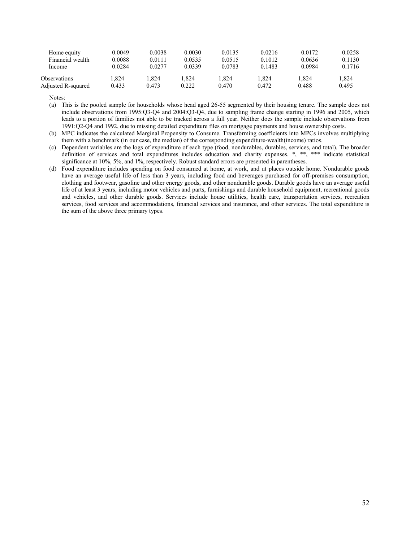| Home equity         | 0.0049 | 0.0038 | 0.0030 | 0.0135 | 0.0216 | 0.0172 | 0.0258 |
|---------------------|--------|--------|--------|--------|--------|--------|--------|
| Financial wealth    | 0.0088 | 0.0111 | 0.0535 | 0.0515 | 0.1012 | 0.0636 | 0.1130 |
| Income              | 0.0284 | 0.0277 | 0.0339 | 0.0783 | 0.1483 | 0.0984 | 0.1716 |
| <b>Observations</b> | 1.824  | .824   | .824   | 1.824  | 1.824  | 1.824  | 1.824  |
| Adjusted R-squared  | 0.433  | 0.473  | 0.222  | 0.470  | 0.472  | 0.488  | 0.495  |

Notes:

- (a) This is the pooled sample for households whose head aged 26-55 segmented by their housing tenure. The sample does not include observations from 1995:Q3-Q4 and 2004:Q3-Q4, due to sampling frame change starting in 1996 and 2005, which leads to a portion of families not able to be tracked across a full year. Neither does the sample include observations from 1991:Q2-Q4 and 1992, due to missing detailed expenditure files on mortgage payments and house ownership costs.
- (b) MPC indicates the calculated Marginal Propensity to Consume. Transforming coefficients into MPCs involves multiplying them with a benchmark (in our case, the median) of the corresponding expenditure-wealth(income) ratios.
- (c) Dependent variables are the logs of expenditure of each type (food, nondurables, durables, services, and total). The broader definition of services and total expenditures includes education and charity expenses. \*, \*\*, \*\*\* indicate statistical significance at 10%, 5%, and 1%, respectively. Robust standard errors are presented in parentheses.
- (d) Food expenditure includes spending on food consumed at home, at work, and at places outside home. Nondurable goods have an average useful life of less than 3 years, including food and beverages purchased for off-premises consumption, clothing and footwear, gasoline and other energy goods, and other nondurable goods. Durable goods have an average useful life of at least 3 years, including motor vehicles and parts, furnishings and durable household equipment, recreational goods and vehicles, and other durable goods. Services include house utilities, health care, transportation services, recreation services, food services and accommodations, financial services and insurance, and other services. The total expenditure is the sum of the above three primary types.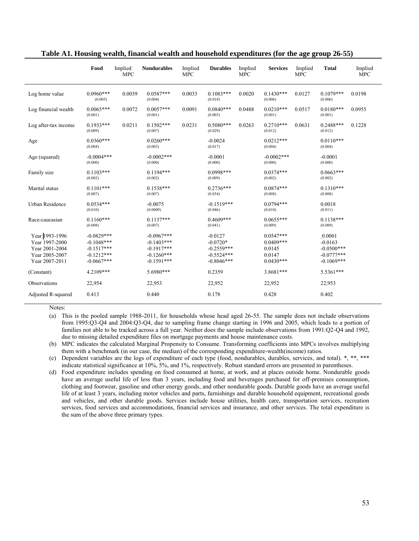|                                                                                        | Food                                                                         | Implied<br><b>MPC</b> | <b>Nondurables</b>                                                           | Implied<br><b>MPC</b> | <b>Durables</b>                                                         | Implied<br><b>MPC</b> | <b>Services</b>                                               | Implied<br><b>MPC</b> | <b>Total</b>                                                        | Implied<br><b>MPC</b> |
|----------------------------------------------------------------------------------------|------------------------------------------------------------------------------|-----------------------|------------------------------------------------------------------------------|-----------------------|-------------------------------------------------------------------------|-----------------------|---------------------------------------------------------------|-----------------------|---------------------------------------------------------------------|-----------------------|
| Log home value                                                                         | $0.0960***$<br>(0.005)                                                       | 0.0039                | $0.0587***$<br>(0.004)                                                       | 0.0033                | $0.1083***$<br>(0.018)                                                  | 0.0020                | $0.1430***$<br>(0.006)                                        | 0.0127                | $0.1079***$<br>(0.006)                                              | 0.0198                |
| Log financial wealth                                                                   | $0.0065***$<br>(0.001)                                                       | 0.0072                | $0.0057***$<br>(0.001)                                                       | 0.0091                | $0.0840***$<br>(0.003)                                                  | 0.0488                | $0.0210***$<br>(0.001)                                        | 0.0517                | $0.0180***$<br>(0.001)                                              | 0.0955                |
| Log after-tax income                                                                   | $0.1933***$<br>(0.009)                                                       | 0.0211                | $0.1502***$<br>(0.007)                                                       | 0.0231                | $0.5080***$<br>(0.029)                                                  | 0.0263                | $0.2710***$<br>(0.012)                                        | 0.0631                | $0.2488***$<br>(0.012)                                              | 0.1228                |
| Age                                                                                    | $0.0360***$<br>(0.004)                                                       |                       | $0.0260***$<br>(0.003)                                                       |                       | $-0.0024$<br>(0.017)                                                    |                       | $0.0212***$<br>(0.004)                                        |                       | $0.0110***$<br>(0.004)                                              |                       |
| Age (squared)                                                                          | $-0.0004***$<br>(0.000)                                                      |                       | $-0.0002$ ***<br>(0.000)                                                     |                       | $-0.0001$<br>(0.000)                                                    |                       | $-0.0002$ ***<br>(0.000)                                      |                       | $-0.0001$<br>(0.000)                                                |                       |
| Family size                                                                            | $0.1103***$<br>(0.002)                                                       |                       | $0.1194***$<br>(0.002)                                                       |                       | $0.0998***$<br>(0.009)                                                  |                       | $0.0374***$<br>(0.002)                                        |                       | $0.0663***$<br>(0.002)                                              |                       |
| Marital status                                                                         | $0.1101***$<br>(0.007)                                                       |                       | $0.1538***$<br>(0.007)                                                       |                       | $0.2736***$<br>(0.034)                                                  |                       | $0.0874***$<br>(0.008)                                        |                       | $0.1310***$<br>(0.008)                                              |                       |
| Urban Residence                                                                        | $0.0534***$<br>(0.010)                                                       |                       | $-0.0075$<br>(0.0009)                                                        |                       | $-0.1519***$<br>(0.046)                                                 |                       | $0.0794***$<br>(0.010)                                        |                       | 0.0018<br>(0.011)                                                   |                       |
| Race-caucasian                                                                         | $0.1160***$<br>(0.008)                                                       |                       | $0.1137***$<br>(0.007)                                                       |                       | $0.4609***$<br>(0.041)                                                  |                       | $0.0655***$<br>(0.009)                                        |                       | $0.1138***$<br>(0.009)                                              |                       |
| Year 1993-1996<br>Year 1997-2000<br>Year 2001-2004<br>Year 2005-2007<br>Year 2007-2011 | $-0.0829***$<br>$-0.1048***$<br>$-0.1517***$<br>$-0.1212***$<br>$-0.0667***$ |                       | $-0.0967***$<br>$-0.1403***$<br>$-0.1917***$<br>$-0.1260***$<br>$-0.1591***$ |                       | $-0.0127$<br>$-0.0720*$<br>$-0.2559***$<br>$-0.5524***$<br>$-0.8046***$ |                       | $0.0547***$<br>$0.0409***$<br>0.0145<br>0.0147<br>$0.0430***$ |                       | 0.0001<br>$-0.0163$<br>$-0.0500***$<br>$-0.0777***$<br>$-0.1069***$ |                       |
| (Constant)                                                                             | 4.2109***                                                                    |                       | 5.6980***                                                                    |                       | 0.2359                                                                  |                       | 3.8681***                                                     |                       | 5.5361***                                                           |                       |
| Observations                                                                           | 22,954                                                                       |                       | 22,953                                                                       |                       | 22,952                                                                  |                       | 22,952                                                        |                       | 22,953                                                              |                       |
| Adjusted R-squared                                                                     | 0.413                                                                        |                       | 0.440                                                                        |                       | 0.178                                                                   |                       | 0.428                                                         |                       | 0.402                                                               |                       |

#### **Table A1. Housing wealth, financial wealth and household expenditures (for the age group 26-55)**

Notes:

(a) This is the pooled sample 1988-2011, for households whose head aged 26-55. The sample does not include observations from 1995:Q3-Q4 and 2004:Q3-Q4, due to sampling frame change starting in 1996 and 2005, which leads to a portion of families not able to be tracked across a full year. Neither does the sample include observations from 1991:Q2-Q4 and 1992, due to missing detailed expenditure files on mortgage payments and house maintenance costs.

(b) MPC indicates the calculated Marginal Propensity to Consume. Transforming coefficients into MPCs involves multiplying them with a benchmark (in our case, the median) of the corresponding expenditure-wealth(income) ratios.

(c) Dependent variables are the logs of expenditure of each type (food, nondurables, durables, services, and total). \*, \*\*, \*\*\* indicate statistical significance at 10%, 5%, and 1%, respectively. Robust standard errors are presented in parentheses.

(d) Food expenditure includes spending on food consumed at home, at work, and at places outside home. Nondurable goods have an average useful life of less than 3 years, including food and beverages purchased for off-premises consumption, clothing and footwear, gasoline and other energy goods, and other nondurable goods. Durable goods have an average useful life of at least 3 years, including motor vehicles and parts, furnishings and durable household equipment, recreational goods and vehicles, and other durable goods. Services include house utilities, health care, transportation services, recreation services, food services and accommodations, financial services and insurance, and other services. The total expenditure is the sum of the above three primary types.